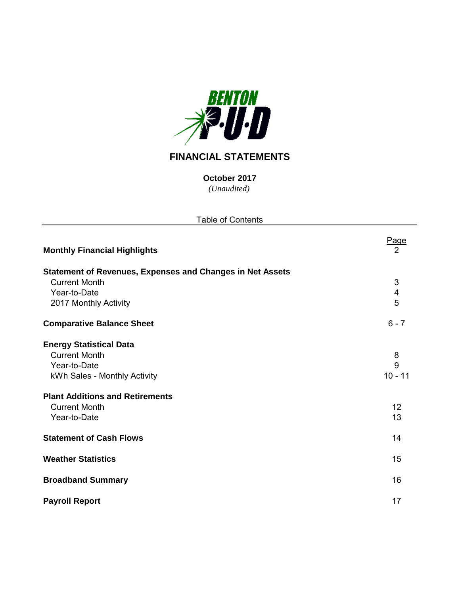

# **FINANCIAL STATEMENTS**

*(Unaudited)* **October 2017**

| <b>Table of Contents</b>                                         |                         |
|------------------------------------------------------------------|-------------------------|
| <b>Monthly Financial Highlights</b>                              | Page<br>2               |
| <b>Statement of Revenues, Expenses and Changes in Net Assets</b> |                         |
| <b>Current Month</b>                                             | $\sqrt{3}$              |
| Year-to-Date                                                     | $\overline{\mathbf{4}}$ |
| 2017 Monthly Activity                                            | 5                       |
| <b>Comparative Balance Sheet</b>                                 | $6 - 7$                 |
| <b>Energy Statistical Data</b>                                   |                         |
| <b>Current Month</b>                                             | 8                       |
| Year-to-Date                                                     | 9                       |
| kWh Sales - Monthly Activity                                     | $10 - 11$               |
| <b>Plant Additions and Retirements</b>                           |                         |
| <b>Current Month</b>                                             | 12                      |
| Year-to-Date                                                     | 13                      |
| <b>Statement of Cash Flows</b>                                   | 14                      |
| <b>Weather Statistics</b>                                        | 15                      |
| <b>Broadband Summary</b>                                         | 16                      |
| <b>Payroll Report</b>                                            | 17                      |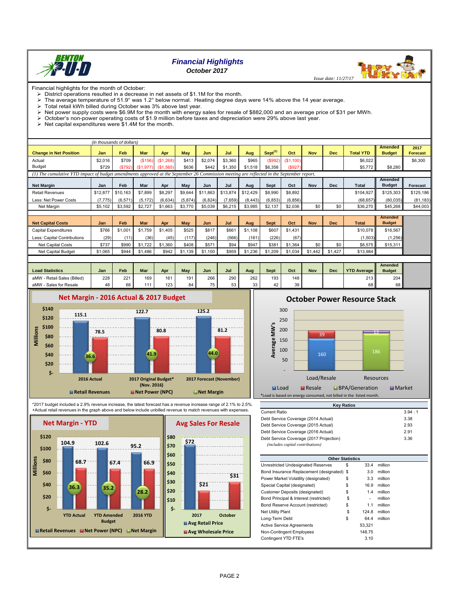

## *Financial Highlights October 2017*

Financial highlights for the month of October:

> District operations resulted in a decrease in net assets of \$1.1M for the month. The average temperature of 51.9° was 1.2° below normal. Heating degree days were 14% above the 14 year average.<br>> Total retail kWh billed during October was 3% above last year

- Total retail kWh billed during October was 3% above last year.
- > Net power supply costs were \$6.9M for the month with energy sales for resale of \$882,000 and an average price of \$31 per MWh.
- October's non-power operating costs of \$1.9 million before taxes and depreciation were 29% above last year.
- 

 $\triangleright$  Net capital expenditures were \$1.4M for the month.

| (in thousands of dollars)                                                                                                                 |            |          |            |                       |         |          |          |          |                                 |           |            |            |                  |               |                 |
|-------------------------------------------------------------------------------------------------------------------------------------------|------------|----------|------------|-----------------------|---------|----------|----------|----------|---------------------------------|-----------|------------|------------|------------------|---------------|-----------------|
|                                                                                                                                           |            |          |            |                       |         |          |          |          |                                 |           |            |            |                  | Amended       | 2017            |
| <b>Change in Net Position</b>                                                                                                             | <b>Jan</b> | Feb      | <b>Mar</b> | Apr                   | Mav     | Jun      | Jul      | Aug      | S <sub>ent</sub> <sup>(1)</sup> | Oct       | <b>Nov</b> | <b>Dec</b> | <b>Total YTD</b> | <b>Budget</b> | <b>Forecast</b> |
| Actual                                                                                                                                    | \$2.016    | \$709    | (S156)     | (\$1,268)             | \$413   | \$2,074  | \$3,360  | \$965    | (S992)                          | (S1, 100) |            |            | \$6.022          |               | \$6,300         |
| Budget                                                                                                                                    | \$729      | (S792)   |            | $(S1,977)$ $(S1,565)$ | \$636   | \$442    | \$1,350  | \$1,518  | \$6.358                         | \$927)    |            |            | \$5,772          | \$8,280       |                 |
| (1) The cumulative YTD impact of budget amendments approved at the September 26 Commission meeting are reflected in the September report. |            |          |            |                       |         |          |          |          |                                 |           |            |            |                  |               |                 |
|                                                                                                                                           |            |          |            |                       |         |          |          |          |                                 |           |            |            |                  | Amended       |                 |
| <b>Net Margin</b>                                                                                                                         | Jan        | Feb      | Mar        | Apr                   | May     | Jun      | Jul      | Aug      | Sept                            | Oct       | <b>Nov</b> | Dec        | <b>Total</b>     | <b>Budget</b> | Forecast        |
| <b>Retail Revenues</b>                                                                                                                    | \$12,877   | \$10.163 | \$7.899    | \$8.297               | \$9.644 | \$11,863 | \$13,874 | \$12,429 | \$8,990                         | \$8,892   |            |            | \$104.927        | \$125,303     | \$125,186       |
| Less: Net Power Costs                                                                                                                     | (7.775)    | (6, 571) | (5.172)    | (6,634)               | (5,874) | (6, 824) | (7,659)  | (8, 443) | (6.853)                         | (6, 856)  |            |            | (68.657)         | (80,035)      | (81, 183)       |
| Net Margin                                                                                                                                | \$5.102    | \$3,592  | \$2.727    | \$1,663               | \$3,770 | \$5,039  | \$6,215  | \$3.985  | \$2,137                         | \$2.036   | \$0        | \$0        | \$36,270         | \$45,268      | \$44,003        |
|                                                                                                                                           |            |          |            |                       |         |          |          |          |                                 |           |            |            |                  |               |                 |
|                                                                                                                                           |            |          |            |                       |         |          |          |          |                                 |           |            |            |                  | Il Amended II |                 |

|                             |         |                 |             |         |       |       |       |         |         |         |            |         |              | Amended       |
|-----------------------------|---------|-----------------|-------------|---------|-------|-------|-------|---------|---------|---------|------------|---------|--------------|---------------|
| <b>Net Capital Costs</b>    | Jan     | Feb             | Mar         | Apr     | Mav   | Jun   | Jul   | Aug     | Sept    | Oct     | <b>Nov</b> | Dec     | <b>Total</b> | <b>Budget</b> |
| Capital Expenditures        | \$766   | \$1,001         | \$1.759     | \$1,405 | \$525 | \$817 | \$661 | \$1,108 | \$607   | \$1,431 |            |         | \$10.078     | \$16,567      |
| Less: Capital Contributions | (29)    | $^{\prime}$ 11) | (36)        | (45)    | (117) | (246) | (566) | (161)   | (226)   | (67)    |            |         | (1.503)      | (1,256)       |
| Net Capital Costs           | \$737   | \$990           | .722<br>\$1 | \$1,360 | \$408 | \$571 | \$94  | \$947   | \$381   | \$1,364 | \$0        | \$0     | \$8.575      | \$15,311      |
| Net Capital Budget          | \$1,065 | \$944           | \$1,486     | \$942   | .139  | .100  | \$959 | \$1.236 | \$1.209 | \$1,034 | \$1.442    | \$1,427 | \$13,984     |               |

| <b>Load Statistics</b>         | Jan | <b>Feb</b> | Mar | Apr | May                  | Jun      | Jul         | Aua          | Sept         | Oct | <b>Nov</b> | <b>Dec</b> | <b>YTD Average</b>   | <b>Amended</b><br><b>Budget</b> |
|--------------------------------|-----|------------|-----|-----|----------------------|----------|-------------|--------------|--------------|-----|------------|------------|----------------------|---------------------------------|
| - Retail Sales (Billed)<br>aMW | 228 | 221        | 169 | 161 | 191                  | 266      | 290         | 262          | 193          | 148 |            |            | $213$ $\blacksquare$ | 204                             |
| - Sales for Resale<br>aMW      | 48  | 68         | .   | 123 | O <sub>A</sub><br>64 | $-$<br>◡ | $\sim$<br>ິ | $\sim$<br>ບບ | $\sim$<br>42 | 39  |            |            | 68 I                 |                                 |



\*2017 budget included a 2.9% revenue increase, the latest forecast has a revenue increase range of 2.1% to 2.5%. +Actual retail revenues in the graph above and below include unbilled revenue to match revenues with expenses.





**October Power Resource Stack**



| <b>INGY INGLIUS</b>                     |        |
|-----------------------------------------|--------|
| <b>Current Ratio</b>                    | 3.94:1 |
| Debt Service Coverage (2014 Actual)     | 3.38   |
| Debt Service Coverage (2015 Actual)     | 2.93   |
| Debt Service Coverage (2016 Actual)     | 2.91   |
| Debt Service Coverage (2017 Projection) | 3.36   |
| (includes capital contributions)        |        |

**Key Ratios**

| <b>Other Statistics</b>                    |    |        |         |
|--------------------------------------------|----|--------|---------|
| Unrestricted Undesignated Reserves         | S  | 33.4   | million |
| Bond Insurance Replacement (designated) \$ |    | 3.0    | million |
| Power Market Volatility (designated)       | \$ | 3.3    | million |
| Special Capital (designated)               | \$ | 16.9   | million |
| Customer Deposits (designated)             | \$ | 1.4    | million |
| Bond Principal & Interest (restricted)     | \$ | ۰      | million |
| Bond Reserve Account (restricted)          | \$ | 1.1    | million |
| <b>Net Utility Plant</b>                   | \$ | 124.8  | million |
| Long-Term Debt                             | \$ | 64.4   | million |
| <b>Active Service Agreements</b>           |    | 53.321 |         |
| Non-Contingent Employees                   |    | 148.75 |         |
| Contingent YTD FTE's                       |    | 3.10   |         |

 *Issue date: 11/27/17*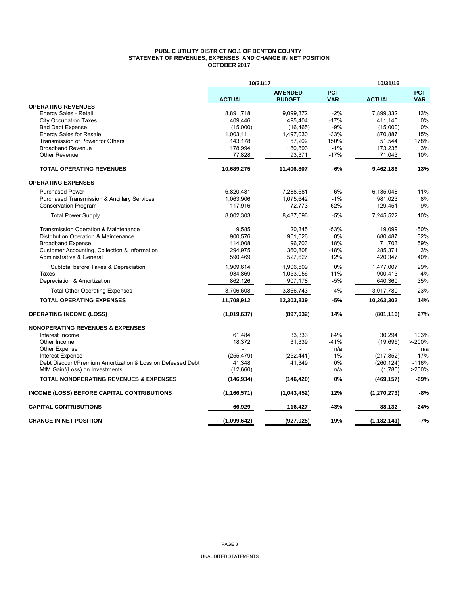#### **PUBLIC UTILITY DISTRICT NO.1 OF BENTON COUNTY STATEMENT OF REVENUES, EXPENSES, AND CHANGE IN NET POSITION OCTOBER 2017**

|                                                            | 10/31/17      |                                 |                          | 10/31/16      |                          |
|------------------------------------------------------------|---------------|---------------------------------|--------------------------|---------------|--------------------------|
|                                                            | <b>ACTUAL</b> | <b>AMENDED</b><br><b>BUDGET</b> | <b>PCT</b><br><b>VAR</b> | <b>ACTUAL</b> | <b>PCT</b><br><b>VAR</b> |
| <b>OPERATING REVENUES</b>                                  |               |                                 |                          |               |                          |
| Energy Sales - Retail                                      | 8,891,718     | 9,099,372                       | $-2%$                    | 7,899,332     | 13%                      |
| <b>City Occupation Taxes</b>                               | 409,446       | 495,404                         | $-17%$                   | 411,145       | 0%                       |
| <b>Bad Debt Expense</b>                                    | (15,000)      | (16, 465)                       | $-9%$                    | (15,000)      | 0%                       |
| <b>Energy Sales for Resale</b>                             | 1,003,111     | 1,497,030                       | $-33%$                   | 870,887       | 15%                      |
| Transmission of Power for Others                           | 143,178       | 57,202                          | 150%                     | 51,544        | 178%                     |
| <b>Broadband Revenue</b>                                   | 178,994       | 180,893                         | $-1%$                    | 173,235       | 3%                       |
| <b>Other Revenue</b>                                       | 77,828        | 93,371                          | $-17%$                   | 71,043        | 10%                      |
| <b>TOTAL OPERATING REVENUES</b>                            | 10,689,275    | 11,406,807                      | $-6%$                    | 9,462,186     | 13%                      |
| <b>OPERATING EXPENSES</b>                                  |               |                                 |                          |               |                          |
| <b>Purchased Power</b>                                     | 6,820,481     | 7,288,681                       | $-6%$                    | 6,135,048     | 11%                      |
| <b>Purchased Transmission &amp; Ancillary Services</b>     | 1,063,906     | 1,075,642                       | $-1%$                    | 981,023       | 8%                       |
| <b>Conservation Program</b>                                | 117,916       | 72,773                          | 62%                      | 129,451       | $-9%$                    |
| <b>Total Power Supply</b>                                  | 8,002,303     | 8,437,096                       | $-5%$                    | 7,245,522     | 10%                      |
| Transmission Operation & Maintenance                       | 9,585         | 20,345                          | $-53%$                   | 19,099        | $-50%$                   |
| Distribution Operation & Maintenance                       | 900,576       | 901,026                         | 0%                       | 680,487       | 32%                      |
| <b>Broadband Expense</b>                                   | 114,008       | 96,703                          | 18%                      | 71,703        | 59%                      |
| Customer Accounting, Collection & Information              | 294,975       | 360,808                         | $-18%$                   | 285,371       | 3%                       |
| Administrative & General                                   | 590,469       | 527,627                         | 12%                      | 420,347       | 40%                      |
| Subtotal before Taxes & Depreciation                       | 1,909,614     | 1,906,509                       | 0%                       | 1,477,007     | 29%                      |
| Taxes                                                      | 934,869       | 1,053,056                       | $-11%$                   | 900,413       | 4%                       |
| Depreciation & Amortization                                | 862,126       | 907,178                         | -5%                      | 640,360       | 35%                      |
| <b>Total Other Operating Expenses</b>                      | 3,706,608     | 3,866,743                       | $-4%$                    | 3,017,780     | 23%                      |
| <b>TOTAL OPERATING EXPENSES</b>                            | 11,708,912    | 12,303,839                      | -5%                      | 10,263,302    | 14%                      |
| <b>OPERATING INCOME (LOSS)</b>                             | (1,019,637)   | (897, 032)                      | 14%                      | (801, 116)    | 27%                      |
| <b>NONOPERATING REVENUES &amp; EXPENSES</b>                |               |                                 |                          |               |                          |
| Interest Income                                            | 61,484        | 33,333                          | 84%                      | 30,294        | 103%                     |
| Other Income                                               | 18,372        | 31,339                          | $-41%$                   | (19, 695)     | $> -200%$                |
| <b>Other Expense</b>                                       |               |                                 | n/a                      |               | n/a                      |
| <b>Interest Expense</b>                                    | (255, 479)    | (252, 441)                      | 1%                       | (217, 852)    | 17%                      |
| Debt Discount/Premium Amortization & Loss on Defeased Debt | 41,348        | 41,349                          | 0%                       | (260, 124)    | $-116%$                  |
| MtM Gain/(Loss) on Investments                             | (12,660)      |                                 | n/a                      | (1,780)       | >200%                    |
| <b>TOTAL NONOPERATING REVENUES &amp; EXPENSES</b>          | (146, 934)    | (146, 420)                      | 0%                       | (469, 157)    | $-69%$                   |
| INCOME (LOSS) BEFORE CAPITAL CONTRIBUTIONS                 | (1, 166, 571) | (1,043,452)                     | 12%                      | (1, 270, 273) | -8%                      |
| <b>CAPITAL CONTRIBUTIONS</b>                               | 66,929        | 116,427                         | -43%                     | 88,132        | $-24%$                   |
| <b>CHANGE IN NET POSITION</b>                              | (1,099,642)   | (927, 025)                      | 19%                      | (1, 182, 141) | $-7%$                    |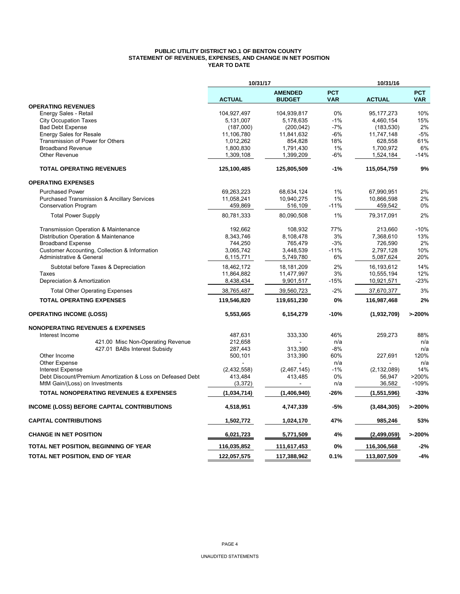#### **PUBLIC UTILITY DISTRICT NO.1 OF BENTON COUNTY STATEMENT OF REVENUES, EXPENSES, AND CHANGE IN NET POSITION YEAR TO DATE**

|                                                            | 10/31/17      |                                 |                          | 10/31/16      |                          |
|------------------------------------------------------------|---------------|---------------------------------|--------------------------|---------------|--------------------------|
|                                                            | <b>ACTUAL</b> | <b>AMENDED</b><br><b>BUDGET</b> | <b>PCT</b><br><b>VAR</b> | <b>ACTUAL</b> | <b>PCT</b><br><b>VAR</b> |
| <b>OPERATING REVENUES</b>                                  |               |                                 |                          |               |                          |
| Energy Sales - Retail                                      | 104,927,497   | 104,939,817                     | 0%                       | 95, 177, 273  | 10%                      |
| <b>City Occupation Taxes</b>                               | 5,131,007     | 5,178,635                       | $-1%$                    | 4,460,154     | 15%                      |
| <b>Bad Debt Expense</b>                                    | (187,000)     | (200, 042)                      | $-7%$                    | (183, 530)    | 2%                       |
| <b>Energy Sales for Resale</b>                             | 11,106,780    | 11,841,632                      | $-6%$                    | 11,747,148    | $-5%$                    |
| Transmission of Power for Others                           | 1,012,262     | 854,828                         | 18%                      | 628,558       | 61%                      |
| <b>Broadband Revenue</b>                                   | 1,800,830     | 1,791,430                       | 1%                       | 1,700,972     | 6%                       |
| Other Revenue                                              | 1,309,108     | 1,399,209                       | -6%                      | 1,524,184     | $-14%$                   |
| <b>TOTAL OPERATING REVENUES</b>                            | 125,100,485   | 125,805,509                     | $-1%$                    | 115,054,759   | 9%                       |
| <b>OPERATING EXPENSES</b>                                  |               |                                 |                          |               |                          |
| <b>Purchased Power</b>                                     | 69,263,223    | 68,634,124                      | 1%                       | 67,990,951    | 2%                       |
| <b>Purchased Transmission &amp; Ancillary Services</b>     | 11,058,241    | 10,940,275                      | 1%                       | 10,866,598    | 2%                       |
| <b>Conservation Program</b>                                | 459,869       | 516,109                         | $-11%$                   | 459,542       | 0%                       |
| <b>Total Power Supply</b>                                  | 80,781,333    | 80,090,508                      | 1%                       | 79,317,091    | 2%                       |
| Transmission Operation & Maintenance                       | 192,662       | 108,932                         | 77%                      | 213,660       | $-10%$                   |
| Distribution Operation & Maintenance                       | 8,343,746     | 8,108,478                       | 3%                       | 7,368,610     | 13%                      |
| <b>Broadband Expense</b>                                   | 744,250       | 765,479                         | $-3%$                    | 726,590       | 2%                       |
| Customer Accounting, Collection & Information              | 3,065,742     | 3,448,539                       | $-11%$                   | 2,797,128     | 10%                      |
| Administrative & General                                   | 6,115,771     | 5,749,780                       | 6%                       | 5,087,624     | 20%                      |
| Subtotal before Taxes & Depreciation                       | 18.462.172    | 18,181,209                      | 2%                       | 16,193,612    | 14%                      |
| Taxes                                                      | 11,864,882    | 11,477,997                      | 3%                       | 10,555,194    | 12%                      |
| Depreciation & Amortization                                | 8,438,434     | 9,901,517                       | $-15%$                   | 10,921,571    | $-23%$                   |
| <b>Total Other Operating Expenses</b>                      | 38,765,487    | 39,560,723                      | $-2%$                    | 37,670,377    | 3%                       |
| <b>TOTAL OPERATING EXPENSES</b>                            | 119,546,820   | 119,651,230                     | 0%                       | 116,987,468   | 2%                       |
| <b>OPERATING INCOME (LOSS)</b>                             | 5,553,665     | 6,154,279                       | $-10%$                   | (1,932,709)   | >200%                    |
| <b>NONOPERATING REVENUES &amp; EXPENSES</b>                |               |                                 |                          |               |                          |
| Interest Income                                            | 487,631       | 333,330                         | 46%                      | 259,273       | 88%                      |
| 421.00 Misc Non-Operating Revenue                          | 212,658       |                                 | n/a                      |               | n/a                      |
| 427.01 BABs Interest Subsidy                               | 287,443       | 313,390                         | $-8%$                    |               | n/a                      |
| Other Income                                               | 500,101       | 313,390                         | 60%                      | 227,691       | 120%                     |
| <b>Other Expense</b>                                       |               |                                 | n/a                      |               | n/a                      |
| <b>Interest Expense</b>                                    | (2,432,558)   | (2, 467, 145)                   | $-1%$                    | (2, 132, 089) | 14%                      |
| Debt Discount/Premium Amortization & Loss on Defeased Debt | 413,484       | 413,485                         | 0%                       | 56,947        | >200%                    |
| MtM Gain/(Loss) on Investments                             | (3, 372)      |                                 | n/a                      | 36,582        | $-109%$                  |
| <b>TOTAL NONOPERATING REVENUES &amp; EXPENSES</b>          | (1,034,714)   | (1,406,940)                     | -26%                     | (1,551,596)   | $-33%$                   |
| <b>INCOME (LOSS) BEFORE CAPITAL CONTRIBUTIONS</b>          | 4,518,951     | 4,747,339                       | -5%                      | (3,484,305)   | >200%                    |
| <b>CAPITAL CONTRIBUTIONS</b>                               | 1,502,772     | 1,024,170                       | 47%                      | 985,246       | 53%                      |
| <b>CHANGE IN NET POSITION</b>                              | 6,021,723     | 5,771,509                       | 4%                       | (2,499,059)   | >200%                    |
| TOTAL NET POSITION, BEGINNING OF YEAR                      | 116,035,852   | 111,617,453                     | 0%                       | 116,306,568   | $-2%$                    |
| TOTAL NET POSITION, END OF YEAR                            | 122,057,575   | 117,388,962                     | 0.1%                     | 113,807,509   | $-4%$                    |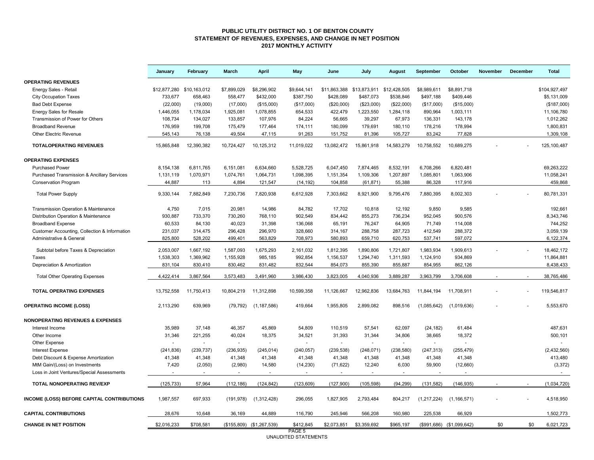#### **PUBLIC UTILITY DISTRICT NO. 1 OF BENTON COUNTY STATEMENT OF REVENUES, EXPENSES, AND CHANGE IN NET POSITION 2017 MONTHLY ACTIVITY**

|                                               | January      | February                 | March          | <b>April</b>              | May         | June           | July           | August         | September     | October                   | November | December | <b>Total</b>  |
|-----------------------------------------------|--------------|--------------------------|----------------|---------------------------|-------------|----------------|----------------|----------------|---------------|---------------------------|----------|----------|---------------|
| <b>OPERATING REVENUES</b>                     |              |                          |                |                           |             |                |                |                |               |                           |          |          |               |
| Energy Sales - Retail                         | \$12,877,280 | \$10.163.012             | \$7.899.029    | \$8,296,902               | \$9.644.141 | \$11,863,388   | \$13.873.911   | \$12,428,505   | \$8,989,611   | \$8.891.718               |          |          | \$104.927.497 |
| <b>City Occupation Taxes</b>                  | 733,677      | 658,463                  | 558,477        | \$432,000                 | \$387,750   | \$428,089      | \$487,073      | \$538,846      | \$497,188     | \$409,446                 |          |          | \$5,131,009   |
| <b>Bad Debt Expense</b>                       | (22,000)     | (19,000)                 | (17,000)       | (\$15,000)                | (\$17,000)  | (\$20,000)     | (\$23,000)     | (\$22,000)     | (\$17,000)    | (\$15,000)                |          |          | (\$187,000)   |
| Energy Sales for Resale                       | 1,446,055    | 1,178,034                | 1,925,081      | 1,078,855                 | 654,533     | 422,479        | 1,223,550      | 1,284,118      | 890,964       | 1,003,111                 |          |          | 11,106,780    |
| Transmission of Power for Others              | 108,734      | 134,027                  | 133,857        | 107,976                   | 84,224      | 56,665         | 39,297         | 67,973         | 136,331       | 143,178                   |          |          | 1,012,262     |
| <b>Broadband Revenue</b>                      | 176,959      | 199,708                  | 175,479        | 177,464                   | 174,111     | 180,099        | 179,691        | 180,110        | 178,216       | 178,994                   |          |          | 1,800,831     |
| <b>Other Electric Revenue</b>                 | 545,143      | 76,138                   | 49,504         | 47,115                    | 91,263      | 151,752        | 81,396         | 105,727        | 83,242        | 77,828                    |          |          | 1,309,108     |
| <b>TOTALOPERATING REVENUES</b>                | 15,865,848   | 12,390,382               | 10,724,427     | 10,125,312                | 11,019,022  | 13,082,472     | 15,861,918     | 14,583,279     | 10,758,552    | 10,689,275                |          |          | 125, 100, 487 |
| <b>OPERATING EXPENSES</b>                     |              |                          |                |                           |             |                |                |                |               |                           |          |          |               |
| <b>Purchased Power</b>                        | 8,154,138    | 6,811,765                | 6,151,081      | 6,634,660                 | 5,528,725   | 6,047,450      | 7,874,465      | 8,532,191      | 6,708,266     | 6,820,481                 |          |          | 69,263,222    |
| Purchased Transmission & Ancillary Services   | 1,131,119    | 1,070,971                | 1,074,761      | 1,064,731                 | 1,098,395   | 1,151,354      | 1,109,306      | 1,207,897      | 1,085,801     | 1,063,906                 |          |          | 11,058,241    |
| <b>Conservation Program</b>                   | 44,887       | 113                      | 4,894          | 121,547                   | (14, 192)   | 104,858        | (61, 871)      | 55,388         | 86,328        | 117,916                   |          |          | 459,868       |
| <b>Total Power Supply</b>                     | 9,330,144    | 7,882,849                | 7,230,736      | 7,820,938                 | 6,612,928   | 7,303,662      | 8,921,900      | 9,795,476      | 7,880,395     | 8,002,303                 |          |          | 80,781,331    |
| Transmission Operation & Maintenance          | 4,750        | 7,015                    | 20,981         | 14,986                    | 84,782      | 17,702         | 10,818         | 12,192         | 9,850         | 9,585                     |          |          | 192,661       |
| Distribution Operation & Maintenance          | 930,887      | 733,370                  | 730,260        | 768,110                   | 902,549     | 834,442        | 855,273        | 736,234        | 952,045       | 900,576                   |          |          | 8,343,746     |
| <b>Broadband Expense</b>                      | 60,533       | 84,130                   | 40,023         | 31,398                    | 136,068     | 65,191         | 76,247         | 64,905         | 71,749        | 114,008                   |          |          | 744,252       |
| Customer Accounting, Collection & Information | 231,037      | 314,475                  | 296,428        | 296,970                   | 328,660     | 314,167        | 288,758        | 287,723        | 412,549       | 288,372                   |          |          | 3,059,139     |
| Administrative & General                      | 825,800      | 528,202                  | 499,401        | 563,829                   | 708,973     | 580,893        | 659,710        | 620,753        | 537,741       | 597,072                   |          |          | 6,122,374     |
| Subtotal before Taxes & Depreciation          | 2,053,007    | 1,667,192                | 1,587,093      | 1,675,293                 | 2,161,032   | 1,812,395      | 1,890,806      | 1,721,807      | 1,983,934     | 1,909,613                 |          |          | 18,462,172    |
| Taxes                                         | 1,538,303    | 1,369,962                | 1,155,928      | 985,185                   | 992,854     | 1,156,537      | 1,294,740      | 1,311,593      | 1,124,910     | 934,869                   |          |          | 11,864,881    |
| Depreciation & Amortization                   | 831.104      | 830,410                  | 830,462        | 831,482                   | 832,544     | 854,073        | 855,390        | 855,887        | 854,955       | 862,126                   |          |          | 8,438,433     |
|                                               |              |                          |                |                           |             |                |                |                |               |                           |          |          |               |
| <b>Total Other Operating Expenses</b>         | 4,422,414    | 3,867,564                | 3,573,483      | 3,491,960                 | 3,986,430   | 3,823,005      | 4,040,936      | 3,889,287      | 3,963,799     | 3,706,608                 |          |          | 38,765,486    |
| <b>TOTAL OPERATING EXPENSES</b>               | 13,752,558   | 11,750,413               | 10,804,219     | 11,312,898                | 10,599,358  | 11,126,667     | 12,962,836     | 13,684,763     | 11,844,194    | 11,708,911                |          |          | 119,546,817   |
| <b>OPERATING INCOME (LOSS)</b>                | 2,113,290    | 639,969                  | (79, 792)      | (1, 187, 586)             | 419,664     | 1,955,805      | 2,899,082      | 898,516        | (1,085,642)   | (1,019,636)               |          |          | 5,553,670     |
| <b>NONOPERATING REVENUES &amp; EXPENSES</b>   |              |                          |                |                           |             |                |                |                |               |                           |          |          |               |
| Interest Income                               | 35,989       | 37,148                   | 46,357         | 45,869                    | 54,809      | 110,519        | 57,541         | 62,097         | (24, 182)     | 61,484                    |          |          | 487,631       |
| Other Income                                  | 31,346       | 221,255                  | 40,024         | 18,375                    | 34,521      | 31,393         | 31,344         | 34,806         | 38,665        | 18,372                    |          |          | 500,101       |
| Other Expense                                 |              | $\sim$                   | $\mathbf{r}$   | $\mathcal{L}$             | $\sim$      | $\mathbb{Z}$   | $\omega$       | $\sim$         | $\mathcal{L}$ |                           |          |          |               |
| <b>Interest Expense</b>                       | (241, 836)   | (239, 737)               | (236, 935)     | (245, 014)                | (240, 057)  | (239, 538)     | (248, 071)     | (238, 580)     | (247, 313)    | (255, 479)                |          |          | (2,432,560)   |
| Debt Discount & Expense Amortization          | 41,348       | 41,348                   | 41,348         | 41,348                    | 41,348      | 41,348         | 41,348         | 41,348         | 41,348        | 41,348                    |          |          | 413,480       |
| MtM Gain/(Loss) on Investments                | 7,420        | (2,050)                  | (2,980)        | 14,580                    | (14, 230)   | (71, 622)      | 12,240         | 6,030          | 59,900        | (12,660)                  |          |          | (3, 372)      |
| Loss in Joint Ventures/Special Assessments    |              | $\overline{\phantom{a}}$ | $\blacksquare$ | $\blacksquare$            |             | $\blacksquare$ | $\blacksquare$ | $\blacksquare$ |               | $\overline{\phantom{a}}$  |          |          | $\sim$        |
| <b>TOTAL NONOPERATING REV/EXP</b>             | (125, 733)   | 57,964                   | (112, 186)     | (124, 842)                | (123, 609)  | (127,900)      | (105, 598)     | (94, 299)      | (131, 582)    | (146, 935)                |          |          | (1,034,720)   |
| INCOME (LOSS) BEFORE CAPITAL CONTRIBUTIONS    | 1,987,557    | 697,933                  | (191, 978)     | (1,312,428)               | 296,055     | 1,827,905      | 2,793,484      | 804,217        | (1,217,224)   | (1, 166, 571)             |          |          | 4,518,950     |
| <b>CAPITAL CONTRIBUTIONS</b>                  | 28,676       | 10,648                   | 36,169         | 44,889                    | 116,790     | 245,946        | 566,208        | 160,980        | 225,538       | 66,929                    |          |          | 1,502,773     |
| <b>CHANGE IN NET POSITION</b>                 | \$2,016,233  | \$708,581                |                | (\$155,809) (\$1,267,539) | \$412,845   | \$2,073,851    | \$3,359,692    | \$965,197      |               | (\$991,686) (\$1,099,642) | \$0      | \$0      | 6,021,723     |
|                                               |              |                          |                |                           | PAGE 5      |                |                |                |               |                           |          |          |               |

PAGE 5 UNAUDITED STATEMENTS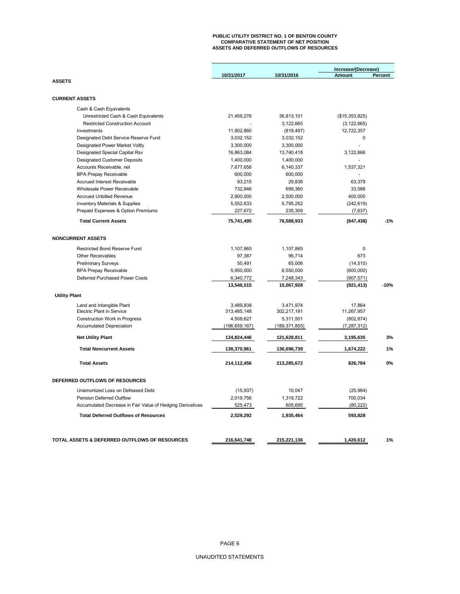## **PUBLIC UTILITY DISTRICT NO. 1 OF BENTON COUNTY COMPARATIVE STATEMENT OF NET POSITION ASSETS AND DEFERRED OUTFLOWS OF RESOURCES**

|                                                                                                          |                      |                      | Increase/(Decrease)  |                |
|----------------------------------------------------------------------------------------------------------|----------------------|----------------------|----------------------|----------------|
|                                                                                                          | 10/31/2017           | 10/31/2016           | <b>Amount</b>        | <b>Percent</b> |
| <b>ASSETS</b>                                                                                            |                      |                      |                      |                |
|                                                                                                          |                      |                      |                      |                |
| <b>CURRENT ASSETS</b>                                                                                    |                      |                      |                      |                |
| Cash & Cash Equivalents                                                                                  |                      |                      |                      |                |
| Unrestricted Cash & Cash Equivalents                                                                     | 21,459,276           | 36,813,101           | (\$15,353,825)       |                |
| <b>Restricted Construction Account</b>                                                                   |                      | 3,122,665            | (3, 122, 665)        |                |
| Investments                                                                                              | 11,902,860           | (819, 497)           | 12,722,357           |                |
| Designated Debt Service Reserve Fund                                                                     | 3,032,152            | 3,032,152            | 0                    |                |
| Designated Power Market Voltly                                                                           | 3,300,000            | 3,300,000            |                      |                |
| Designated Special Capital Rsv                                                                           | 16,863,084           | 13,740,418           | 3,122,666            |                |
| <b>Designated Customer Deposits</b>                                                                      | 1,400,000            | 1,400,000            |                      |                |
| Accounts Receivable, net                                                                                 | 7,677,658            | 6,140,337            | 1,537,321            |                |
| <b>BPA Prepay Receivable</b>                                                                             | 600,000              | 600,000              |                      |                |
| <b>Accrued Interest Receivable</b>                                                                       | 93,215               | 29,836               | 63,379               |                |
| Wholesale Power Receivable                                                                               | 732,946              | 699,360              | 33,586               |                |
| <b>Accrued Unbilled Revenue</b>                                                                          | 2,900,000            | 2,500,000            | 400,000              |                |
| <b>Inventory Materials &amp; Supplies</b>                                                                | 5,552,633            | 5,795,252            | (242, 619)           |                |
| Prepaid Expenses & Option Premiums                                                                       | 227,672              | 235,309              | (7,637)              |                |
| <b>Total Current Assets</b>                                                                              | 75,741,495           | 76,588,933           | (847, 438)           | $-1%$          |
| <b>NONCURRENT ASSETS</b>                                                                                 |                      |                      |                      |                |
|                                                                                                          |                      |                      |                      |                |
| <b>Restricted Bond Reserve Fund</b>                                                                      | 1,107,865            | 1,107,865            | $\mathbf 0$          |                |
| <b>Other Receivables</b>                                                                                 | 97,387               | 96,714               | 673                  |                |
| <b>Preliminary Surveys</b>                                                                               | 50,491               | 65,006               | (14, 515)            |                |
| <b>BPA Prepay Receivable</b>                                                                             | 5,950,000            | 6,550,000            | (600,000)            |                |
| Deferred Purchased Power Costs                                                                           | 6,340,772            | 7,248,343            | (907, 571)           |                |
|                                                                                                          | 13,546,515           | 15,067,928           | (921, 413)           | $-10%$         |
| <b>Utility Plant</b>                                                                                     |                      |                      |                      |                |
| Land and Intangible Plant                                                                                | 3.489.838            | 3.471.974            | 17.864               |                |
| <b>Electric Plant in Service</b>                                                                         | 313,485,148          | 302,217,191          | 11,267,957           |                |
| <b>Construction Work in Progress</b>                                                                     | 4,508,627            | 5,311,501            | (802, 874)           |                |
| <b>Accumulated Depreciation</b>                                                                          | (196, 659, 167)      | (189, 371, 855)      | (7, 287, 312)        |                |
| <b>Net Utility Plant</b>                                                                                 | 124,824,446          | 121,628,811          | 3,195,635            | 3%             |
| <b>Total Noncurrent Assets</b>                                                                           | 138,370,961          | 136,696,739          | 1,674,222            | 1%             |
| <b>Total Assets</b>                                                                                      | 214,112,456          | 213,285,672          | 826,784              | 0%             |
| DEFERRED OUTFLOWS OF RESOURCES                                                                           |                      |                      |                      |                |
|                                                                                                          |                      |                      |                      |                |
| Unamortized Loss on Defeased Debt                                                                        | (15, 937)            | 10,047               | (25, 984)            |                |
| Pension Deferred Outflow                                                                                 | 2,019,756            | 1,319,722            | 700,034              |                |
| Accumulated Decrease in Fair Value of Hedging Derivatives<br><b>Total Deferred Outflows of Resources</b> | 525,473<br>2,529,292 | 605,695<br>1,935,464 | (80, 222)<br>593,828 |                |
|                                                                                                          |                      |                      |                      |                |
|                                                                                                          |                      |                      |                      |                |
| TOTAL ASSETS & DEFERRED OUTFLOWS OF RESOURCES                                                            | 216,641,748          | 215,221,136          | 1,420,612            | 1%             |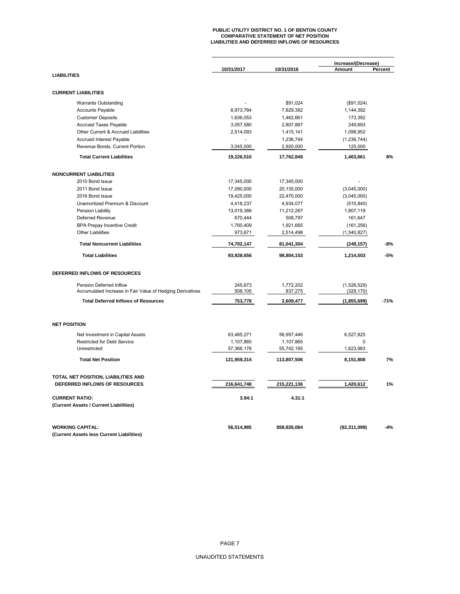# **PUBLIC UTILITY DISTRICT NO. 1 OF BENTON COUNTY COMPARATIVE STATEMENT OF NET POSITION LIABILITIES AND DEFERRED INFLOWS OF RESOURCES**

|                                                           | 10/31/2017  | 10/31/2016   | Increase/(Decrease)<br>Amount | Percent |
|-----------------------------------------------------------|-------------|--------------|-------------------------------|---------|
| <b>LIABILITIES</b>                                        |             |              |                               |         |
| <b>CURRENT LIABILITIES</b>                                |             |              |                               |         |
| <b>Warrants Outstanding</b>                               |             | \$91,024     | (\$91,024)                    |         |
| <b>Accounts Payable</b>                                   | 8,973,784   | 7,829,392    | 1,144,392                     |         |
| <b>Customer Deposits</b>                                  | 1,636,053   | 1,462,661    | 173,392                       |         |
| <b>Accrued Taxes Payable</b>                              | 3,057,580   | 2,807,887    | 249,693                       |         |
| Other Current & Accrued Liabilities                       | 2,514,093   | 1,415,141    | 1,098,952                     |         |
| Accrued Interest Payable                                  |             | 1,236,744    | (1, 236, 744)                 |         |
| Revenue Bonds, Current Portion                            | 3,045,000   | 2,920,000    | 125,000                       |         |
| <b>Total Current Liabilities</b>                          | 19,226,510  | 17,762,849   | 1,463,661                     | 8%      |
| <b>NONCURRENT LIABILITIES</b>                             |             |              |                               |         |
| 2010 Bond Issue                                           | 17,345,000  | 17,345,000   |                               |         |
| 2011 Bond Issue                                           | 17,090,000  | 20,135,000   | (3,045,000)                   |         |
| 2016 Bond Issue                                           | 19,425,000  | 22,470,000   | (3,045,000)                   |         |
| Unamortized Premium & Discount                            | 4,418,237   | 4,934,077    | (515, 840)                    |         |
| Pension Liability                                         | 13,019,386  | 11,212,267   | 1,807,119                     |         |
| Deferred Revenue                                          | 670,444     | 508,797      | 161,647                       |         |
| <b>BPA Prepay Incentive Credit</b>                        | 1,760,409   | 1,921,665    | (161, 256)                    |         |
| <b>Other Liabilities</b>                                  | 973,671     | 2,514,498    | (1,540,827)                   |         |
|                                                           |             |              |                               |         |
| <b>Total Noncurrent Liabilities</b>                       | 74,702,147  | 81,041,304   | (249, 157)                    | $-8%$   |
| <b>Total Liabilities</b>                                  | 93,928,656  | 98,804,153   | 1,214,503                     | $-5%$   |
| DEFERRED INFLOWS OF RESOURCES                             |             |              |                               |         |
| Pension Deferred Inflow                                   | 245.673     | 1,772,202    | (1,526,529)                   |         |
| Accumulated Increase in Fair Value of Hedging Derivatives | 508,105     | 837,275      | (329, 170)                    |         |
| <b>Total Deferred Inflows of Resources</b>                | 753,778     | 2,609,477    | (1,855,699)                   | $-71%$  |
| <b>NET POSITION</b>                                       |             |              |                               |         |
| Net Investment in Capital Assets                          | 63,485,271  | 56,957,446   | 6,527,825                     |         |
| <b>Restricted for Debt Service</b>                        | 1,107,865   | 1,107,865    | 0                             |         |
| Unrestricted                                              | 57,366,178  | 55,742,195   | 1,623,983                     |         |
| <b>Total Net Position</b>                                 | 121,959,314 | 113,807,506  | 8,151,808                     | 7%      |
| TOTAL NET POSITION, LIABILITIES AND                       |             |              |                               |         |
| DEFERRED INFLOWS OF RESOURCES                             | 216,641,748 | 215,221,136  | 1,420,612                     | 1%      |
| <b>CURRENT RATIO:</b>                                     | 3.94:1      | 4.31:1       |                               |         |
| (Current Assets / Current Liabilities)                    |             |              |                               |         |
| <b>WORKING CAPITAL:</b>                                   | 56,514,985  | \$58,826,084 | (\$2,311,099)                 | $-4%$   |
| (Current Assets less Current Liabilities)                 |             |              |                               |         |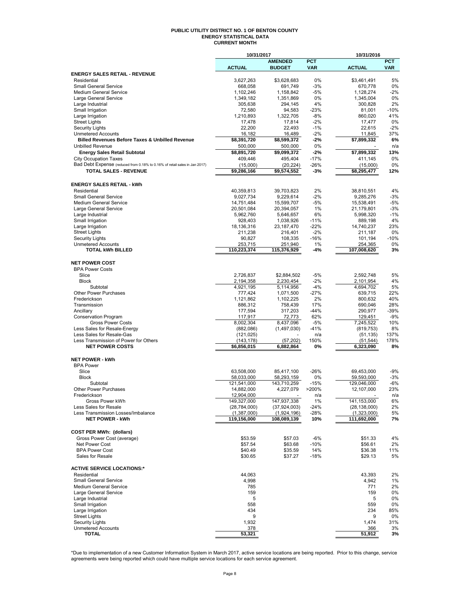#### **PUBLIC UTILITY DISTRICT NO. 1 OF BENTON COUNTY ENERGY STATISTICAL DATA CURRENT MONTH**

|                                                                            | 10/31/2017               |                                 | 10/31/2016       |                        |              |
|----------------------------------------------------------------------------|--------------------------|---------------------------------|------------------|------------------------|--------------|
|                                                                            |                          | <b>AMENDED</b><br><b>BUDGET</b> | <b>PCT</b>       |                        | <b>PCT</b>   |
| <b>ENERGY SALES RETAIL - REVENUE</b>                                       | <b>ACTUAL</b>            |                                 | <b>VAR</b>       | <b>ACTUAL</b>          | <b>VAR</b>   |
| Residential                                                                | 3,627,263                | \$3,628,683                     | 0%               | \$3,461,491            | 5%           |
| <b>Small General Service</b>                                               | 668,058                  | 691,749                         | $-3%$            | 670,778                | 0%           |
| Medium General Service                                                     | 1,102,246                | 1,158,842                       | $-5%$            | 1,128,274              | $-2%$        |
| Large General Service                                                      | 1,349,182                | 1,351,869                       | 0%               | 1,345,004              | 0%           |
| Large Industrial<br>Small Irrigation                                       | 305,638<br>72,580        | 294,145<br>94,583               | 4%<br>$-23%$     | 300,828<br>81,001      | 2%<br>$-10%$ |
| Large Irrigation                                                           | 1,210,893                | 1,322,705                       | $-8%$            | 860,020                | 41%          |
| <b>Street Lights</b>                                                       | 17,478                   | 17,814                          | $-2%$            | 17,477                 | 0%           |
| <b>Security Lights</b>                                                     | 22,200                   | 22,493                          | $-1%$            | 22.615                 | $-2%$        |
| <b>Unmetered Accounts</b>                                                  | 16,182                   | 16,489                          | $-2%$            | 11,845                 | 37%          |
| <b>Billed Revenues Before Taxes &amp; Unbilled Revenue</b>                 | \$8,391,720              | \$8,599,372                     | $-2%$            | \$7,899,332            | 6%           |
| <b>Unbilled Revenue</b><br><b>Energy Sales Retail Subtotal</b>             | 500,000<br>\$8,891,720   | 500,000<br>\$9,099,372          | 0%<br>$-2%$      | \$7,899,332            | n/a<br>13%   |
| <b>City Occupation Taxes</b>                                               | 409,446                  | 495,404                         | $-17%$           | 411,145                | 0%           |
| Bad Debt Expense (reduced from 0.18% to 0.16% of retail sales in Jan 2017) | (15,000)                 | (20, 224)                       | $-26%$           | (15,000)               | 0%           |
| <b>TOTAL SALES - REVENUE</b>                                               | \$9,286,166              | \$9,574,552                     | $-3%$            | \$8,295,477            | 12%          |
| <b>ENERGY SALES RETAIL - kWh</b>                                           |                          |                                 |                  |                        |              |
| Residential                                                                | 40,359,813               | 39,703,823                      | 2%               | 38,810,551             | 4%           |
| <b>Small General Service</b>                                               | 9,027,734                | 9,229,614                       | $-2%$            | 9,285,276              | $-3%$        |
| Medium General Service                                                     | 14,751,484               | 15,599,707                      | $-5%$            | 15,538,491             | $-5%$        |
| Large General Service                                                      | 20,501,084               | 20,394,057                      | 1%               | 21,179,801             | $-3%$        |
| Large Industrial                                                           | 5,962,760                | 5,646,657                       | 6%               | 5,998,320              | $-1%$        |
| Small Irrigation<br>Large Irrigation                                       | 928,403<br>18,136,316    | 1,038,926<br>23,187,470         | $-11%$<br>$-22%$ | 889,198<br>14,740,237  | 4%<br>23%    |
| <b>Street Lights</b>                                                       | 211,238                  | 216.401                         | $-2%$            | 211,187                | 0%           |
| <b>Security Lights</b>                                                     | 90,827                   | 108,335                         | $-16%$           | 101,194                | $-10%$       |
| <b>Unmetered Accounts</b>                                                  | 253,715                  | 251,940                         | 1%               | 254,365                | 0%           |
| <b>TOTAL kWh BILLED</b>                                                    | 110,223,374              | 115,376,929                     | $-4%$            | 107,008,620            | 3%           |
| <b>NET POWER COST</b>                                                      |                          |                                 |                  |                        |              |
| <b>BPA Power Costs</b>                                                     |                          |                                 |                  |                        |              |
| Slice                                                                      | 2,726,837                | \$2,884,502                     | $-5%$            | 2,592,748              | 5%           |
| <b>Block</b><br>Subtotal                                                   | 2,194,358                | 2,230,454                       | $-2%$            | 2,101,954              | 4%<br>5%     |
| <b>Other Power Purchases</b>                                               | 4,921,195<br>777,424     | 5,114,956<br>1,071,500          | $-4%$<br>$-27%$  | 4,694,702<br>639,715   | 22%          |
| Frederickson                                                               | 1,121,862                | 1,102,225                       | 2%               | 800,632                | 40%          |
| Transmission                                                               | 886,312                  | 758,439                         | 17%              | 690,046                | 28%          |
| Ancillary                                                                  | 177,594                  | 317,203                         | $-44%$           | 290,977                | $-39%$       |
| <b>Conservation Program</b>                                                | 117,917                  | 72,773                          | 62%              | 129,451                | $-9%$        |
| <b>Gross Power Costs</b>                                                   | 8,002,304                | 8,437,096                       | $-5%$            | 7,245,522              | 10%          |
| Less Sales for Resale-Energy<br>Less Sales for Resale-Gas                  | (882,086)<br>(121, 025)  | (1,497,030)                     | $-41%$<br>n/a    | (819, 753)             | 8%<br>137%   |
| Less Transmission of Power for Others                                      | (143, 178)               | (57, 202)                       | 150%             | (51, 135)<br>(51, 544) | 178%         |
| <b>NET POWER COSTS</b>                                                     | \$6,856,015              | 6,882,864                       | 0%               | 6,323,090              | 8%           |
| <b>NET POWER - kWh</b>                                                     |                          |                                 |                  |                        |              |
| <b>BPA Power</b>                                                           |                          |                                 |                  |                        |              |
| Slice                                                                      | 63,508,000               | 85,417,100                      | $-26%$           | 69,453,000             | -9%          |
| <b>Block</b>                                                               | 58,033,000               | 58,293,159                      | 0%               | 59,593,000             | $-3%$        |
| Subtotal                                                                   | 121,541,000              | 143,710,259                     | $-15%$           | 129,046,000            | $-6%$        |
| Other Power Purchases<br>Frederickson                                      | 14,882,000<br>12,904,000 | 4,227,079                       | >200%<br>n/a     | 12,107,000             | 23%<br>n/a   |
| Gross Power kWh                                                            | 149,327,000              | 147,937,338                     | 1%               | 141,153,000            | 6%           |
| Less Sales for Resale                                                      | (28, 784, 000)           | (37, 924, 003)                  | $-24%$           | (28, 138, 000)         | 2%           |
| Less Transmission Losses/Imbalance                                         | (1,387,000)              | (1,924,196)                     | $-28%$           | (1,323,000)            | 5%           |
| <b>NET POWER - kWh</b>                                                     | 119,156,000              | 108,089,139                     | 10%              | 111,692,000            | 7%           |
| <b>COST PER MWh: (dollars)</b>                                             |                          |                                 |                  |                        |              |
| Gross Power Cost (average)                                                 | \$53.59                  | \$57.03                         | $-6%$            | \$51.33                | 4%           |
| Net Power Cost<br><b>BPA Power Cost</b>                                    | \$57.54                  | \$63.68                         | $-10%$           | \$56.61                | 2%           |
| Sales for Resale                                                           | \$40.49<br>\$30.65       | \$35.59<br>\$37.27              | 14%<br>$-18%$    | \$36.38<br>\$29.13     | 11%<br>5%    |
| <b>ACTIVE SERVICE LOCATIONS:*</b>                                          |                          |                                 |                  |                        |              |
| Residential                                                                | 44,063                   |                                 |                  | 43,393                 | 2%           |
| <b>Small General Service</b>                                               | 4,998                    |                                 |                  | 4,942                  | 1%           |
| Medium General Service                                                     | 785                      |                                 |                  | 771                    | 2%           |
| Large General Service                                                      | 159                      |                                 |                  | 159                    | 0%           |
| Large Industrial                                                           | 5                        |                                 |                  | 5                      | 0%           |
| Small Irrigation                                                           | 558                      |                                 |                  | 559                    | 0%           |
| Large Irrigation<br><b>Street Lights</b>                                   | 434<br>9                 |                                 |                  | 234<br>9               | 85%<br>0%    |
| <b>Security Lights</b>                                                     | 1,932                    |                                 |                  | 1,474                  | 31%          |
| <b>Unmetered Accounts</b>                                                  | 378                      |                                 |                  | 366                    | 3%           |
| <b>TOTAL</b>                                                               | 53,321                   |                                 |                  | 51,912                 | 3%           |

\*Due to implementation of a new Customer Information System in March 2017, active service locations are being reported. Prior to this change, service<br>agreements were being reported which could have multiple service locati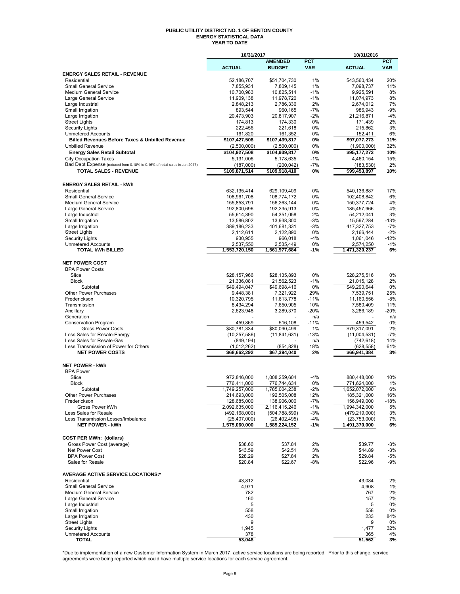#### **PUBLIC UTILITY DISTRICT NO. 1 OF BENTON COUNTY ENERGY STATISTICAL DATA YEAR TO DATE**

|                                                                            | 10/31/2017                 |                            |              | 10/31/2016                 |            |
|----------------------------------------------------------------------------|----------------------------|----------------------------|--------------|----------------------------|------------|
|                                                                            |                            | <b>AMENDED</b>             | <b>PCT</b>   |                            | <b>PCT</b> |
|                                                                            | <b>ACTUAL</b>              | <b>BUDGET</b>              | <b>VAR</b>   | <b>ACTUAL</b>              | <b>VAR</b> |
| <b>ENERGY SALES RETAIL - REVENUE</b>                                       |                            |                            |              |                            |            |
| Residential<br><b>Small General Service</b>                                | 52,186,707<br>7,855,931    | \$51,704,730<br>7,809,145  | 1%<br>1%     | \$43,560,434<br>7,098,737  | 20%<br>11% |
| <b>Medium General Service</b>                                              | 10,700,983                 | 10,825,514                 | $-1%$        | 9,925,591                  | 8%         |
| Large General Service                                                      | 11,909,138                 | 11,978,720                 | $-1%$        | 11,074,973                 | 8%         |
| Large Industrial                                                           | 2,848,213                  | 2,786,336                  | 2%           | 2,674,012                  | 7%         |
| Small Irrigation                                                           | 893,544                    | 960,165                    | $-7%$        | 986,943                    | $-9%$      |
| Large Irrigation                                                           | 20,473,903                 | 20,817,907                 | $-2%$        | 21,216,871                 | $-4%$      |
| <b>Street Lights</b>                                                       | 174,813                    | 174,330                    | 0%           | 171,439                    | 2%         |
| <b>Security Lights</b>                                                     | 222,456                    | 221,618                    | 0%           | 215,862                    | 3%         |
| <b>Unmetered Accounts</b>                                                  | 161,820                    | 161,352                    | 0%           | 152,411                    | 6%         |
| <b>Billed Revenues Before Taxes &amp; Unbilled Revenue</b>                 | \$107,427,508              | \$107,439,817              | 0%           | \$97,077,273               | 11%        |
| <b>Unbilled Revenue</b>                                                    | (2,500,000)                | (2,500,000)                | 0%           | (1,900,000)                | 32%        |
| <b>Energy Sales Retail Subtotal</b>                                        | \$104,927,508              | \$104,939,817              | 0%           | \$95,177,273               | 10%        |
| <b>City Occupation Taxes</b>                                               | 5,131,006                  | 5,178,635                  | $-1%$        | 4,460,154                  | 15%        |
| Bad Debt Expense (reduced from 0.18% to 0.16% of retail sales in Jan 2017) | (187,000)                  | (200, 042)                 | $-7%$        | (183, 530)                 | 2%         |
| TOTAL SALES - REVENUE                                                      | \$109,871,514              | \$109,918,410              | 0%           | \$99,453,897               | 10%        |
|                                                                            |                            |                            |              |                            |            |
| <b>ENERGY SALES RETAIL - kWh</b>                                           |                            |                            |              |                            |            |
| Residential                                                                | 632,135,414                | 629,109,409                | 0%           | 540,136,887                | 17%        |
| <b>Small General Service</b><br><b>Medium General Service</b>              | 108,961,708                | 108,774,172                | 0%           | 102,408,842                | 6%         |
| Large General Service                                                      | 155,853,791<br>192,800,696 | 156,263,144<br>192,235,913 | 0%<br>0%     | 150,377,724<br>185,457,966 | 4%<br>4%   |
| Large Industrial                                                           | 55,614,390                 | 54,351,058                 | 2%           | 54,212,041                 | 3%         |
| Small Irrigation                                                           | 13,586,802                 | 13,938,300                 | $-3%$        | 15,597,284                 | $-13%$     |
| Large Irrigation                                                           | 389,186,233                | 401,681,331                | $-3%$        | 417,327,753                | $-7%$      |
| <b>Street Lights</b>                                                       | 2,112,611                  | 2.122.890                  | 0%           | 2,166,444                  | $-2%$      |
| <b>Security Lights</b>                                                     | 930,955                    | 966,018                    | $-4%$        | 1,061,046                  | $-12%$     |
| <b>Unmetered Accounts</b>                                                  | 2,537,550                  | 2,535,449                  | 0%           | 2,574,250                  | $-1%$      |
| <b>TOTAL kWh BILLED</b>                                                    | 1,553,720,150              | 1,561,977,684              | $-1%$        | 1,471,320,237              | 6%         |
|                                                                            |                            |                            |              |                            |            |
| <b>NET POWER COST</b>                                                      |                            |                            |              |                            |            |
| <b>BPA Power Costs</b>                                                     |                            |                            |              |                            |            |
| Slice                                                                      | \$28,157,966               | \$28,135,893               | 0%           | \$28,275,516               | 0%         |
| <b>Block</b>                                                               | 21,336,081                 | 21,562,523                 | $-1%$        | 21,015,128                 | 2%         |
| Subtotal                                                                   | \$49,494,047               | \$49,698,416               | 0%           | \$49,290,644               | 0%         |
| Other Power Purchases                                                      | 9,448,381                  | 7,321,922                  | 29%          | 7,539,751                  | 25%        |
| Frederickson                                                               | 10,320,795                 | 11,613,778                 | $-11%$       | 11,160,556                 | $-8%$      |
| Transmission                                                               | 8,434,294                  | 7,650,905                  | 10%          | 7,580,409                  | 11%        |
| Ancillary                                                                  | 2,623,948                  | 3,289,370                  | $-20%$       | 3,286,189                  | $-20%$     |
| Generation                                                                 |                            |                            | n/a          |                            | n/a<br>0%  |
| Conservation Program<br><b>Gross Power Costs</b>                           | 459,869<br>\$80,781,334    | 516,108<br>\$80,090,499    | $-11%$<br>1% | 459,542<br>\$79,317,091    | 2%         |
| Less Sales for Resale-Energy                                               | (10, 257, 586)             | (11, 841, 631)             | $-13%$       | (11,004,531)               | $-7%$      |
| Less Sales for Resale-Gas                                                  | (849, 194)                 |                            | n/a          | (742, 618)                 | 14%        |
| Less Transmission of Power for Others                                      | (1,012,262)                | (854, 828)                 | 18%          | (628, 558)                 | 61%        |
| <b>NET POWER COSTS</b>                                                     | \$68,662,292               | \$67,394,040               | 2%           | \$66,941,384               | 3%         |
|                                                                            |                            |                            |              |                            |            |
| <b>NET POWER - kWh</b>                                                     |                            |                            |              |                            |            |
| <b>BPA Power</b>                                                           |                            |                            |              |                            |            |
| Slice                                                                      | 972,846,000                | 1,008,259,604              | $-4%$        | 880,448,000                | 10%        |
| <b>Block</b>                                                               | 776,411,000                | 776,744,634                | 0%           | 771,624,000                | 1%         |
| Subtotal                                                                   | 1,749,257,000              | 1,785,004,238              | $-2%$        | 1,652,072,000              | 6%         |
| <b>Other Power Purchases</b>                                               | 214,693,000                | 192,505,008                | 12%          | 185,321,000                | 16%        |
| Frederickson                                                               | 128,685,000                | 138,906,000                | $-7%$        | 156,949,000                | $-18%$     |
| Gross Power kWh                                                            | 2,092,635,000              | 2,116,415,246              | $-1%$        | 1,994,342,000              | 5%         |
| Less Sales for Resale                                                      | (492, 168, 000)            | (504, 788, 599)            | $-3%$        | (479, 219, 000)            | 3%         |
| Less Transmission Losses/Imbalance                                         | (25, 407, 000)             | (26, 402, 495)             | $-4%$        | (23,753,000)               | 7%         |
| <b>NET POWER - kWh</b>                                                     | 1,575,060,000              | 1,585,224,152              | $-1%$        | 1,491,370,000              | 6%         |
|                                                                            |                            |                            |              |                            |            |
| <b>COST PER MWh: (dollars)</b>                                             |                            |                            |              |                            |            |
| Gross Power Cost (average)                                                 | \$38.60                    | \$37.84                    | 2%           | \$39.77                    | $-3%$      |
| Net Power Cost                                                             | \$43.59                    | \$42.51                    | 3%           | \$44.89                    | $-3%$      |
| <b>BPA Power Cost</b><br>Sales for Resale                                  | \$28.29<br>\$20.84         | \$27.84<br>\$22.67         | 2%<br>-8%    | \$29.84<br>\$22.96         | -5%<br>-9% |
|                                                                            |                            |                            |              |                            |            |
| <b>AVERAGE ACTIVE SERVICE LOCATIONS:*</b>                                  |                            |                            |              |                            |            |
| Residential                                                                | 43,812                     |                            |              | 43,084                     | 2%         |
| <b>Small General Service</b>                                               | 4,971                      |                            |              | 4,908                      | 1%         |
| <b>Medium General Service</b>                                              | 782                        |                            |              | 767                        | 2%         |
| Large General Service                                                      | 160                        |                            |              | 157                        | 2%         |
| Large Industrial                                                           | 5                          |                            |              | 5                          | 0%         |
| Small Irrigation                                                           | 558                        |                            |              | 558                        | 0%         |
| Large Irrigation                                                           | 430                        |                            |              | 233                        | 84%        |
| <b>Street Lights</b>                                                       | 9                          |                            |              | 9                          | 0%         |
| <b>Security Lights</b>                                                     | 1,945                      |                            |              | 1,477                      | 32%        |
| <b>Unmetered Accounts</b>                                                  | 378                        |                            |              | 365                        | 4%         |
| TOTAL                                                                      | 53,048                     |                            |              | 51,562                     | 3%         |

\*Due to implementation of a new Customer Information System in March 2017, active service locations are being reported. Prior to this change, service<br>agreements were being reported which could have multiple service locati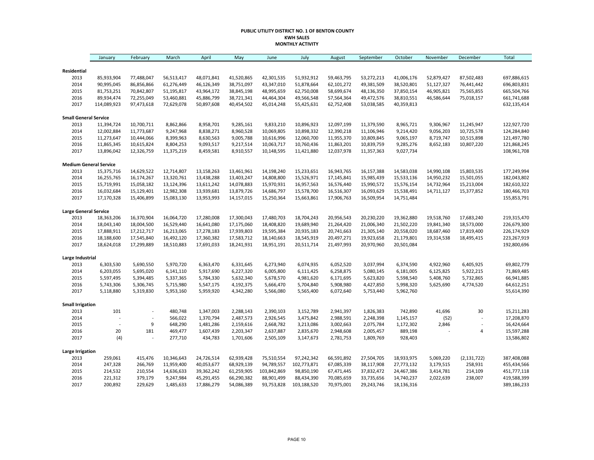#### **PUBLIC UTILITY DISTRICT NO. 1 OF BENTON COUNTY KWH SALES MONTHLY ACTIVITY**

|                               | January     | February       | March      | April      | May        | June        | July        | August     | September  | October    | November   | December                 | <b>Total</b> |
|-------------------------------|-------------|----------------|------------|------------|------------|-------------|-------------|------------|------------|------------|------------|--------------------------|--------------|
|                               |             |                |            |            |            |             |             |            |            |            |            |                          |              |
| Residential<br>2013           | 85,933,904  | 77,488,047     | 56,513,417 | 48,071,841 | 41,520,865 | 42,301,535  | 51,932,912  | 59,463,795 | 53,272,213 | 41,006,176 | 52,879,427 | 87,502,483               | 697,886,615  |
| 2014                          | 90,995,045  | 86,856,866     | 61,276,449 | 46,126,349 | 38,751,097 | 43,347,010  | 51,878,664  | 62,101,272 | 49,381,509 | 38,520,801 | 51,127,327 | 76,441,442               | 696,803,831  |
| 2015                          | 81,753,251  | 70,842,807     | 51,195,817 | 43,964,172 | 38,845,198 | 48,995,659  | 62,750,008  | 58,699,674 | 48,136,350 | 37,850,154 | 46,905,821 | 75,565,855               | 665,504,766  |
| 2016                          | 89,934,474  | 72,255,049     | 53,460,881 | 45,886,799 | 38,721,341 | 44,464,304  | 49,566,548  | 57,564,364 | 49,472,576 | 38,810,551 | 46,586,644 | 75,018,157               | 661,741,688  |
| 2017                          | 114,089,923 | 97,473,618     | 72,629,078 | 50,897,608 | 40,454,502 | 45,014,248  | 55,425,631  | 62,752,408 | 53,038,585 | 40,359,813 |            |                          | 632,135,414  |
| <b>Small General Service</b>  |             |                |            |            |            |             |             |            |            |            |            |                          |              |
| 2013                          | 11,394,724  | 10,700,711     | 8,862,866  | 8,958,701  | 9,285,161  | 9,833,210   | 10,896,923  | 12,097,199 | 11,379,590 | 8,965,721  | 9,306,967  | 11,245,947               | 122,927,720  |
| 2014                          | 12,002,884  | 11,773,687     | 9,247,968  | 8,838,271  | 8,960,528  | 10,069,805  | 10,898,332  | 12,390,218 | 11,106,946 | 9,214,420  | 9,056,203  | 10,725,578               | 124,284,840  |
| 2015                          | 11,273,647  | 10,444,066     | 8,399,963  | 8,630,563  | 9,005,788  | 10,616,996  | 12,060,700  | 11,955,370 | 10,809,845 | 9,065,197  | 8,719,747  | 10,515,898               | 121,497,780  |
| 2016                          | 11,865,345  | 10,615,824     | 8,804,253  | 9,093,517  | 9,217,514  | 10,063,717  | 10,760,436  | 11,863,201 | 10,839,759 | 9,285,276  | 8,652,183  | 10,807,220               | 121,868,245  |
| 2017                          | 13,896,042  | 12,326,759     | 11,375,219 | 8,459,581  | 8,910,557  | 10,148,595  | 11,421,880  | 12,037,978 | 11,357,363 | 9,027,734  |            |                          | 108,961,708  |
| <b>Medium General Service</b> |             |                |            |            |            |             |             |            |            |            |            |                          |              |
| 2013                          | 15,375,716  | 14,629,522     | 12,714,807 | 13,158,263 | 13,461,961 | 14,198,240  | 15,233,651  | 16,943,765 | 16,157,388 | 14,583,038 | 14,990,108 | 15,803,535               | 177,249,994  |
| 2014                          | 16,255,765  | 16,174,267     | 13,320,761 | 13,438,288 | 13,403,247 | 14,808,800  | 15,526,971  | 17,145,841 | 15,985,439 | 15,533,136 | 14,950,232 | 15,501,055               | 182,043,802  |
| 2015                          | 15,719,991  | 15,058,182     | 13,124,396 | 13,611,242 | 14,078,883 | 15,970,931  | 16,957,563  | 16,576,440 | 15,990,572 | 15,576,154 | 14,732,964 | 15,213,004               | 182,610,322  |
| 2016                          | 16,032,684  | 15,129,401     | 12,982,308 | 13,939,681 | 13,879,726 | 14,686,797  | 15,578,700  | 16,516,307 | 16,093,629 | 15,538,491 | 14,711,127 | 15,377,852               | 180,466,703  |
| 2017                          | 17,170,328  | 15,406,899     | 15,083,130 | 13,953,993 | 14,157,015 | 15,250,364  | 15,663,861  | 17,906,763 | 16,509,954 | 14,751,484 |            |                          | 155,853,791  |
| <b>Large General Service</b>  |             |                |            |            |            |             |             |            |            |            |            |                          |              |
| 2013                          | 18,363,206  | 16,370,904     | 16,064,720 | 17,280,008 | 17,300,043 | 17,480,703  | 18,704,243  | 20,956,543 | 20,230,220 | 19,362,880 | 19,518,760 | 17,683,240               | 219,315,470  |
| 2014                          | 18,043,140  | 18,004,500     | 16,529,440 | 16,641,080 | 17,175,060 | 18,408,820  | 19,689,940  | 21,264,420 | 21,006,340 | 21,502,220 | 19,841,340 | 18,573,000               | 226,679,300  |
| 2015                          | 17,888,911  | 17,212,717     | 16,213,065 | 17,278,183 | 17,939,803 | 19,595,384  | 20,935,183  | 20,741,663 | 21,305,140 | 20,558,020 | 18,687,460 | 17,819,400               | 226,174,929  |
| 2016                          | 18,188,600  | 17,545,840     | 16,492,120 | 17,360,382 | 17,583,712 | 18,140,663  | 18,545,919  | 20,497,271 | 19,923,658 | 21,179,801 | 19,314,538 | 18,495,415               | 223,267,919  |
| 2017                          | 18,624,018  | 17,299,889     | 18,510,883 | 17,691,033 | 18,241,931 | 18,951,191  | 20,511,714  | 21,497,993 | 20,970,960 | 20,501,084 |            |                          | 192,800,696  |
| Large Industrial              |             |                |            |            |            |             |             |            |            |            |            |                          |              |
| 2013                          | 6,303,530   | 5,690,550      | 5,970,720  | 6,363,470  | 6,331,645  | 6,273,940   | 6,074,935   | 6,052,520  | 3,037,994  | 6,374,590  | 4,922,960  | 6,405,925                | 69,802,779   |
| 2014                          | 6,203,055   | 5,695,020      | 6,141,110  | 5,917,690  | 6,227,320  | 6,005,800   | 6,111,425   | 6,258,875  | 5,080,145  | 6,181,005  | 6,125,825  | 5,922,215                | 71,869,485   |
| 2015                          | 5,597,495   | 5,394,485      | 5,337,365  | 5,784,330  | 5,632,340  | 5,678,570   | 4,981,620   | 6,171,695  | 5,623,820  | 5,598,540  | 5,408,760  | 5,732,865                | 66,941,885   |
| 2016                          | 5,743,306   | 5,306,745      | 5,715,980  | 5,547,175  | 4,192,375  | 5,666,470   | 5,704,840   | 5,908,980  | 4,427,850  | 5,998,320  | 5,625,690  | 4,774,520                | 64,612,251   |
| 2017                          | 5,118,880   | 5,319,830      | 5,953,160  | 5,959,920  | 4,342,280  | 5,566,080   | 5,565,400   | 6,072,640  | 5,753,440  | 5,962,760  |            |                          | 55,614,390   |
| <b>Small Irrigation</b>       |             |                |            |            |            |             |             |            |            |            |            |                          |              |
| 2013                          | 101         | $\overline{a}$ | 480,748    | 1,347,003  | 2,288,143  | 2,390,103   | 3,152,789   | 2,941,397  | 1,826,383  | 742,890    | 41,696     | 30                       | 15,211,283   |
| 2014                          |             |                | 566,022    | 1,370,794  | 2,487,573  | 2,926,545   | 3,475,842   | 2,988,591  | 2,248,398  | 1,145,157  | (52)       | L,                       | 17,208,870   |
| 2015                          |             | 9              | 648,290    | 1,481,286  | 2,159,616  | 2,668,782   | 3,213,086   | 3,002,663  | 2,075,784  | 1,172,302  | 2,846      | $\overline{\phantom{a}}$ | 16,424,664   |
| 2016                          | 20          | 181            | 469,477    | 1,607,439  | 2,203,347  | 2,637,887   | 2,835,670   | 2,948,608  | 2,005,457  | 889,198    |            | 4                        | 15,597,288   |
| 2017                          | (4)         |                | 277,710    | 434,783    | 1,701,606  | 2,505,109   | 3,147,673   | 2,781,753  | 1,809,769  | 928,403    |            |                          | 13,586,802   |
| <b>Large Irrigation</b>       |             |                |            |            |            |             |             |            |            |            |            |                          |              |
| 2013                          | 259,061     | 415,476        | 10,346,643 | 24,726,514 | 62,939,428 | 75,510,554  | 97,242,342  | 66,591,892 | 27,504,705 | 18,933,975 | 5,069,220  | (2, 131, 722)            | 387,408,088  |
| 2014                          | 247,328     | 266,769        | 11,959,400 | 40,053,677 | 68,929,139 | 94,789,557  | 102,773,871 | 67,085,339 | 38,117,908 | 27,773,132 | 3,179,515  | 258,931                  | 455,434,566  |
| 2015                          | 214,532     | 210,554        | 14,636,633 | 39,362,242 | 61,259,905 | 103,842,869 | 98,850,190  | 67,471,445 | 37,832,472 | 24,467,386 | 3,414,781  | 214,109                  | 451,777,118  |
| 2016                          | 221,312     | 379,179        | 9,247,984  | 45,291,455 | 66,290,382 | 88,901,499  | 88,434,390  | 70,085,659 | 33,735,656 | 14,740,237 | 2,022,639  | 238,007                  | 419,588,399  |
| 2017                          | 200,892     | 229,629        | 1,485,633  | 17,886,279 | 54,086,389 | 93,753,828  | 103,188,520 | 70,975,001 | 29,243,746 | 18,136,316 |            |                          | 389,186,233  |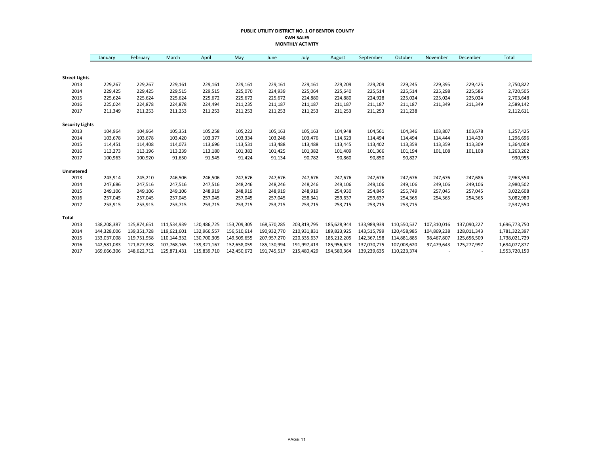#### **PUBLIC UTILITY DISTRICT NO. 1 OF BENTON COUNTY KWH SALES MONTHLY ACTIVITY**

|                        | January     | February    | March       | April       | May         | June        | July        | August      | September   | October     | November    | December    | Total         |
|------------------------|-------------|-------------|-------------|-------------|-------------|-------------|-------------|-------------|-------------|-------------|-------------|-------------|---------------|
|                        |             |             |             |             |             |             |             |             |             |             |             |             |               |
| <b>Street Lights</b>   |             |             |             |             |             |             |             |             |             |             |             |             |               |
| 2013                   | 229,267     | 229,267     | 229,161     | 229,161     | 229,161     | 229,161     | 229,161     | 229,209     | 229,209     | 229,245     | 229,395     | 229,425     | 2,750,822     |
| 2014                   | 229,425     | 229,425     | 229,515     | 229,515     | 225,070     | 224,939     | 225,064     | 225,640     | 225,514     | 225,514     | 225,298     | 225,586     | 2,720,505     |
| 2015                   | 225,624     | 225,624     | 225,624     | 225,672     | 225,672     | 225,672     | 224,880     | 224,880     | 224,928     | 225,024     | 225,024     | 225,024     | 2,703,648     |
| 2016                   | 225,024     | 224,878     | 224,878     | 224,494     | 211,235     | 211,187     | 211,187     | 211,187     | 211,187     | 211,187     | 211,349     | 211,349     | 2,589,142     |
| 2017                   | 211,349     | 211,253     | 211,253     | 211,253     | 211,253     | 211,253     | 211,253     | 211,253     | 211,253     | 211,238     |             |             | 2,112,611     |
| <b>Security Lights</b> |             |             |             |             |             |             |             |             |             |             |             |             |               |
| 2013                   | 104,964     | 104,964     | 105,351     | 105,258     | 105,222     | 105,163     | 105,163     | 104,948     | 104,561     | 104,346     | 103,807     | 103,678     | 1,257,425     |
| 2014                   | 103,678     | 103,678     | 103,420     | 103,377     | 103,334     | 103,248     | 103,476     | 114,623     | 114,494     | 114,494     | 114,444     | 114,430     | 1,296,696     |
| 2015                   | 114,451     | 114,408     | 114,073     | 113,696     | 113,531     | 113,488     | 113,488     | 113,445     | 113,402     | 113,359     | 113,359     | 113,309     | 1,364,009     |
| 2016                   | 113,273     | 113,196     | 113,239     | 113,180     | 101,382     | 101,425     | 101,382     | 101,409     | 101,366     | 101,194     | 101,108     | 101,108     | 1,263,262     |
| 2017                   | 100,963     | 100,920     | 91,650      | 91,545      | 91,424      | 91,134      | 90,782      | 90,860      | 90,850      | 90,827      |             |             | 930,955       |
| Unmetered              |             |             |             |             |             |             |             |             |             |             |             |             |               |
| 2013                   | 243,914     | 245,210     | 246,506     | 246,506     | 247,676     | 247,676     | 247,676     | 247,676     | 247,676     | 247,676     | 247,676     | 247,686     | 2,963,554     |
| 2014                   | 247,686     | 247,516     | 247,516     | 247,516     | 248,246     | 248,246     | 248,246     | 249,106     | 249,106     | 249,106     | 249,106     | 249,106     | 2,980,502     |
| 2015                   | 249,106     | 249,106     | 249,106     | 248,919     | 248,919     | 248,919     | 248,919     | 254,930     | 254,845     | 255,749     | 257,045     | 257,045     | 3,022,608     |
| 2016                   | 257,045     | 257,045     | 257,045     | 257,045     | 257,045     | 257,045     | 258,341     | 259,637     | 259,637     | 254,365     | 254,365     | 254,365     | 3,082,980     |
| 2017                   | 253,915     | 253,915     | 253,715     | 253,715     | 253,715     | 253,715     | 253,715     | 253,715     | 253,715     | 253,715     |             |             | 2,537,550     |
| Total                  |             |             |             |             |             |             |             |             |             |             |             |             |               |
| 2013                   | 138,208,387 | 125,874,651 | 111,534,939 | 120,486,725 | 153,709,305 | 168,570,285 | 203,819,795 | 185,628,944 | 133,989,939 | 110,550,537 | 107,310,016 | 137,090,227 | 1,696,773,750 |
| 2014                   | 144,328,006 | 139,351,728 | 119,621,601 | 132,966,557 | 156,510,614 | 190,932,770 | 210,931,831 | 189,823,925 | 143,515,799 | 120,458,985 | 104,869,238 | 128,011,343 | 1,781,322,397 |
| 2015                   | 133,037,008 | 119,751,958 | 110,144,332 | 130,700,305 | 149,509,655 | 207,957,270 | 220,335,637 | 185,212,205 | 142,367,158 | 114,881,885 | 98,467,807  | 125,656,509 | 1,738,021,729 |
| 2016                   | 142,581,083 | 121,827,338 | 107,768,165 | 139,321,167 | 152,658,059 | 185,130,994 | 191,997,413 | 185,956,623 | 137,070,775 | 107,008,620 | 97,479,643  | 125,277,997 | 1,694,077,877 |
| 2017                   | 169,666,306 | 148,622,712 | 125,871,431 | 115,839,710 | 142,450,672 | 191,745,517 | 215,480,429 | 194,580,364 | 139,239,635 | 110,223,374 |             |             | 1,553,720,150 |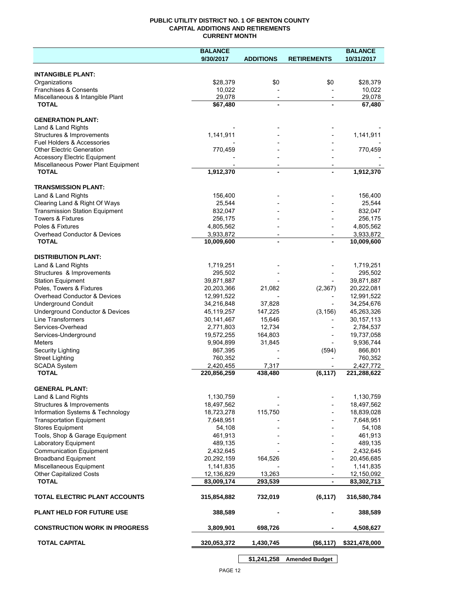## **PUBLIC UTILITY DISTRICT NO. 1 OF BENTON COUNTY CAPITAL ADDITIONS AND RETIREMENTS CURRENT MONTH**

|                                                       | <b>BALANCE</b>           |                                            |                          | <b>BALANCE</b>           |
|-------------------------------------------------------|--------------------------|--------------------------------------------|--------------------------|--------------------------|
|                                                       | 9/30/2017                | <b>ADDITIONS</b>                           | <b>RETIREMENTS</b>       | 10/31/2017               |
| <b>INTANGIBLE PLANT:</b>                              |                          |                                            |                          |                          |
| Organizations                                         | \$28,379                 | \$0                                        | \$0                      | \$28,379                 |
| Franchises & Consents                                 | 10,022                   |                                            |                          | 10,022                   |
| Miscellaneous & Intangible Plant                      | 29,078                   | $\overline{\phantom{a}}$                   | $\overline{\phantom{a}}$ | 29,078                   |
| <b>TOTAL</b>                                          | \$67,480                 | $\blacksquare$                             |                          | 67,480                   |
| <b>GENERATION PLANT:</b>                              |                          |                                            |                          |                          |
| Land & Land Rights                                    |                          |                                            |                          |                          |
| Structures & Improvements                             | 1,141,911                |                                            |                          | 1,141,911                |
| <b>Fuel Holders &amp; Accessories</b>                 |                          |                                            |                          |                          |
| <b>Other Electric Generation</b>                      | 770,459                  |                                            |                          | 770,459                  |
| <b>Accessory Electric Equipment</b>                   |                          |                                            |                          |                          |
| Miscellaneous Power Plant Equipment<br><b>TOTAL</b>   | 1,912,370                | $\overline{\phantom{a}}$<br>$\blacksquare$ |                          | 1,912,370                |
|                                                       |                          |                                            |                          |                          |
| <b>TRANSMISSION PLANT:</b>                            |                          |                                            |                          |                          |
| Land & Land Rights                                    | 156,400                  |                                            |                          | 156,400                  |
| Clearing Land & Right Of Ways                         | 25,544                   |                                            |                          | 25,544                   |
| <b>Transmission Station Equipment</b>                 | 832,047                  |                                            |                          | 832,047                  |
| <b>Towers &amp; Fixtures</b>                          | 256,175                  |                                            |                          | 256,175                  |
| Poles & Fixtures                                      | 4,805,562                |                                            |                          | 4,805,562                |
| Overhead Conductor & Devices                          | 3,933,872                |                                            |                          | 3,933,872                |
| <b>TOTAL</b>                                          | 10,009,600               |                                            |                          | 10,009,600               |
| <b>DISTRIBUTION PLANT:</b>                            |                          |                                            |                          |                          |
| Land & Land Rights                                    | 1,719,251                |                                            |                          | 1,719,251                |
| Structures & Improvements                             | 295,502                  |                                            |                          | 295,502                  |
| <b>Station Equipment</b>                              | 39,871,887               |                                            |                          | 39,871,887               |
| Poles, Towers & Fixtures                              | 20,203,366               | 21,082                                     | (2,367)                  | 20,222,081               |
| Overhead Conductor & Devices                          | 12,991,522               |                                            |                          | 12,991,522               |
| <b>Underground Conduit</b>                            | 34,216,848               | 37,828                                     |                          | 34,254,676               |
| Underground Conductor & Devices                       | 45,119,257               | 147,225                                    | (3, 156)                 | 45,263,326               |
| <b>Line Transformers</b>                              | 30,141,467               | 15,646                                     |                          | 30, 157, 113             |
| Services-Overhead                                     | 2,771,803                | 12,734                                     |                          | 2,784,537                |
| Services-Underground                                  | 19,572,255               | 164,803                                    |                          | 19,737,058               |
| Meters                                                | 9,904,899                | 31,845                                     |                          | 9,936,744                |
| Security Lighting                                     | 867,395                  |                                            | (594)                    | 866,801                  |
| <b>Street Lighting</b>                                | 760,352                  |                                            |                          | 760,352                  |
| <b>SCADA System</b><br><b>TOTAL</b>                   | 2,420,455<br>220,856,259 | 7,317<br>438,480                           | (6, 117)                 | 2,427,772<br>221,288,622 |
|                                                       |                          |                                            |                          |                          |
| <b>GENERAL PLANT:</b>                                 |                          |                                            |                          |                          |
| Land & Land Rights                                    | 1,130,759                |                                            |                          | 1,130,759                |
| Structures & Improvements                             | 18,497,562               |                                            |                          | 18,497,562               |
| Information Systems & Technology                      | 18,723,278               | 115,750                                    |                          | 18,839,028               |
| <b>Transportation Equipment</b>                       | 7,648,951                |                                            |                          | 7,648,951                |
| <b>Stores Equipment</b>                               | 54,108                   |                                            |                          | 54,108                   |
| Tools, Shop & Garage Equipment                        | 461,913                  |                                            |                          | 461,913                  |
| Laboratory Equipment                                  | 489,135                  |                                            |                          | 489,135                  |
| <b>Communication Equipment</b>                        | 2,432,645                |                                            |                          | 2,432,645                |
| <b>Broadband Equipment</b><br>Miscellaneous Equipment | 20,292,159               | 164,526                                    |                          | 20,456,685               |
|                                                       | 1,141,835                |                                            |                          | 1,141,835                |
| <b>Other Capitalized Costs</b><br><b>TOTAL</b>        | 12,136,829<br>83,009,174 | 13,263<br>293,539                          | $\blacksquare$           | 12,150,092<br>83,302,713 |
|                                                       |                          |                                            |                          |                          |
| TOTAL ELECTRIC PLANT ACCOUNTS                         | 315,854,882              | 732,019                                    | (6, 117)                 | 316,580,784              |
| <b>PLANT HELD FOR FUTURE USE</b>                      | 388,589                  |                                            |                          | 388,589                  |
| <b>CONSTRUCTION WORK IN PROGRESS</b>                  | 3,809,901                | 698,726                                    |                          | 4,508,627                |
| <b>TOTAL CAPITAL</b>                                  | 320,053,372              | 1,430,745                                  | (\$6,117)                | \$321,478,000            |
|                                                       |                          |                                            |                          |                          |

**\$1,241,258 Amended Budget**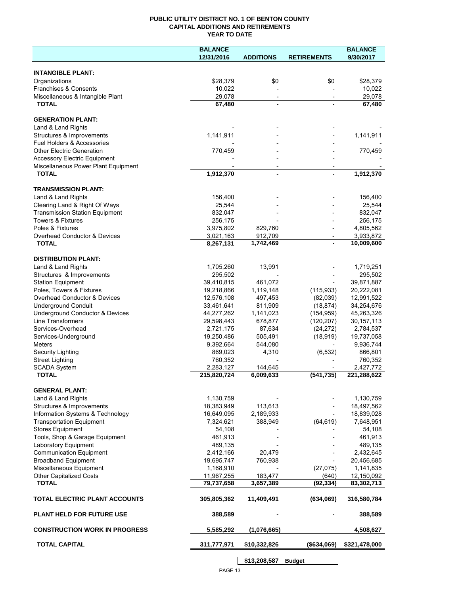## **PUBLIC UTILITY DISTRICT NO. 1 OF BENTON COUNTY CAPITAL ADDITIONS AND RETIREMENTS YEAR TO DATE**

|                                       | <b>BALANCE</b> |                  |                    | <b>BALANCE</b> |
|---------------------------------------|----------------|------------------|--------------------|----------------|
|                                       | 12/31/2016     | <b>ADDITIONS</b> | <b>RETIREMENTS</b> | 9/30/2017      |
|                                       |                |                  |                    |                |
| <b>INTANGIBLE PLANT:</b>              |                |                  |                    |                |
| Organizations                         | \$28,379       | \$0              | \$0                | \$28,379       |
| Franchises & Consents                 | 10,022         |                  |                    | 10,022         |
| Miscellaneous & Intangible Plant      | 29,078         |                  |                    | 29,078         |
| <b>TOTAL</b>                          | 67,480         |                  |                    | 67,480         |
|                                       |                |                  |                    |                |
| <b>GENERATION PLANT:</b>              |                |                  |                    |                |
| Land & Land Rights                    |                |                  |                    |                |
| Structures & Improvements             | 1,141,911      |                  |                    | 1,141,911      |
| Fuel Holders & Accessories            |                |                  |                    |                |
| <b>Other Electric Generation</b>      | 770,459        |                  |                    | 770,459        |
| <b>Accessory Electric Equipment</b>   |                |                  |                    |                |
| Miscellaneous Power Plant Equipment   |                |                  |                    |                |
| <b>TOTAL</b>                          | 1,912,370      |                  |                    | 1,912,370      |
|                                       |                |                  |                    |                |
| <b>TRANSMISSION PLANT:</b>            |                |                  |                    |                |
| Land & Land Rights                    | 156,400        |                  |                    | 156,400        |
| Clearing Land & Right Of Ways         | 25,544         |                  |                    | 25,544         |
| <b>Transmission Station Equipment</b> | 832,047        |                  |                    | 832,047        |
| <b>Towers &amp; Fixtures</b>          | 256,175        |                  |                    | 256,175        |
| Poles & Fixtures                      | 3,975,802      | 829,760          |                    | 4,805,562      |
| Overhead Conductor & Devices          | 3,021,163      | 912,709          |                    | 3,933,872      |
| <b>TOTAL</b>                          | 8,267,131      | 1,742,469        |                    | 10,009,600     |
|                                       |                |                  |                    |                |
| <b>DISTRIBUTION PLANT:</b>            |                |                  |                    |                |
| Land & Land Rights                    | 1,705,260      | 13,991           |                    | 1,719,251      |
| Structures & Improvements             | 295,502        |                  |                    | 295,502        |
| <b>Station Equipment</b>              | 39,410,815     | 461,072          |                    | 39,871,887     |
| Poles, Towers & Fixtures              | 19,218,866     | 1,119,148        | (115, 933)         | 20,222,081     |
| Overhead Conductor & Devices          | 12,576,108     | 497,453          | (82,039)           | 12,991,522     |
| <b>Underground Conduit</b>            | 33,461,641     | 811,909          | (18, 874)          | 34,254,676     |
| Underground Conductor & Devices       | 44,277,262     | 1,141,023        | (154, 959)         | 45,263,326     |
| Line Transformers                     | 29,598,443     | 678,877          | (120, 207)         | 30, 157, 113   |
| Services-Overhead                     | 2,721,175      | 87,634           | (24, 272)          | 2,784,537      |
| Services-Underground                  | 19,250,486     | 505,491          | (18, 919)          | 19,737,058     |
| <b>Meters</b>                         | 9,392,664      | 544,080          |                    | 9,936,744      |
| Security Lighting                     | 869,023        | 4,310            | (6, 532)           | 866,801        |
| <b>Street Lighting</b>                | 760,352        |                  |                    | 760,352        |
| <b>SCADA System</b>                   | 2,283,127      | 144,645          |                    | 2,427,772      |
| <b>TOTAL</b>                          | 215,820,724    | 6,009,633        | (541, 735)         | 221,288,622    |
|                                       |                |                  |                    |                |
| <b>GENERAL PLANT:</b>                 |                |                  |                    |                |
| Land & Land Rights                    | 1,130,759      |                  |                    | 1,130,759      |
| Structures & Improvements             | 18,383,949     | 113,613          |                    | 18,497,562     |
| Information Systems & Technology      | 16,649,095     | 2,189,933        |                    | 18,839,028     |
| <b>Transportation Equipment</b>       | 7,324,621      | 388,949          | (64, 619)          | 7,648,951      |
| <b>Stores Equipment</b>               | 54,108         |                  |                    | 54,108         |
| Tools, Shop & Garage Equipment        | 461,913        |                  |                    | 461,913        |
| Laboratory Equipment                  | 489,135        |                  |                    | 489,135        |
| <b>Communication Equipment</b>        | 2,412,166      | 20,479           |                    | 2,432,645      |
| <b>Broadband Equipment</b>            | 19,695,747     | 760,938          |                    | 20,456,685     |
| Miscellaneous Equipment               | 1,168,910      |                  | (27, 075)          | 1,141,835      |
| <b>Other Capitalized Costs</b>        | 11,967,255     | 183,477          | (640)              | 12,150,092     |
| <b>TOTAL</b>                          | 79,737,658     | 3,657,389        | (92, 334)          | 83,302,713     |
|                                       |                |                  |                    |                |
| TOTAL ELECTRIC PLANT ACCOUNTS         | 305,805,362    | 11,409,491       | (634,069)          | 316,580,784    |
|                                       |                |                  |                    |                |
| <b>PLANT HELD FOR FUTURE USE</b>      | 388,589        |                  |                    | 388,589        |
|                                       |                |                  |                    |                |
| <b>CONSTRUCTION WORK IN PROGRESS</b>  | 5,585,292      | (1,076,665)      |                    | 4,508,627      |
|                                       |                |                  |                    |                |
| <b>TOTAL CAPITAL</b>                  | 311,777,971    | \$10,332,826     | (\$634,069)        | \$321,478,000  |
|                                       |                |                  |                    |                |
|                                       |                | \$13,208,587     | <b>Budget</b>      |                |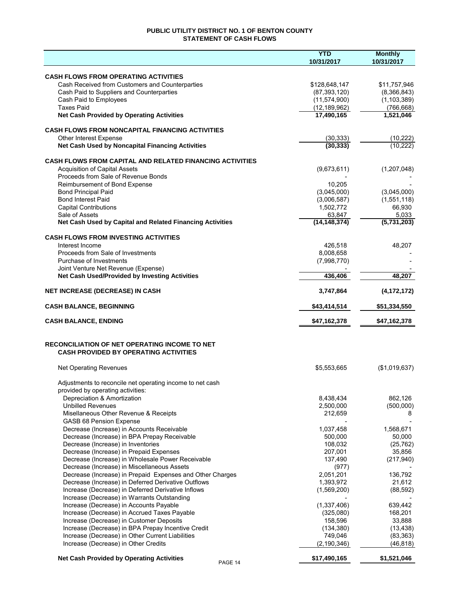## **PUBLIC UTILITY DISTRICT NO. 1 OF BENTON COUNTY STATEMENT OF CASH FLOWS**

|                                                                                                          | <b>YTD</b>         | <b>Monthly</b> |
|----------------------------------------------------------------------------------------------------------|--------------------|----------------|
|                                                                                                          | 10/31/2017         | 10/31/2017     |
|                                                                                                          |                    |                |
| <b>CASH FLOWS FROM OPERATING ACTIVITIES</b>                                                              |                    |                |
| Cash Received from Customers and Counterparties                                                          | \$128,648,147      | \$11,757,946   |
| Cash Paid to Suppliers and Counterparties                                                                | (87, 393, 120)     | (8,366,843)    |
| Cash Paid to Employees                                                                                   | (11, 574, 900)     | (1, 103, 389)  |
| <b>Taxes Paid</b>                                                                                        | (12, 189, 962)     | (766, 668)     |
| <b>Net Cash Provided by Operating Activities</b>                                                         | 17,490,165         | 1,521,046      |
| <b>CASH FLOWS FROM NONCAPITAL FINANCING ACTIVITIES</b>                                                   |                    |                |
| Other Interest Expense                                                                                   | (30, 333)          | (10, 222)      |
| Net Cash Used by Noncapital Financing Activities                                                         | (30, 333)          | (10, 222)      |
|                                                                                                          |                    |                |
| <b>CASH FLOWS FROM CAPITAL AND RELATED FINANCING ACTIVITIES</b>                                          |                    |                |
| <b>Acquisition of Capital Assets</b>                                                                     | (9,673,611)        | (1,207,048)    |
| Proceeds from Sale of Revenue Bonds                                                                      |                    |                |
| Reimbursement of Bond Expense                                                                            | 10,205             |                |
| <b>Bond Principal Paid</b>                                                                               | (3,045,000)        | (3,045,000)    |
| <b>Bond Interest Paid</b>                                                                                | (3,006,587)        | (1,551,118)    |
| <b>Capital Contributions</b>                                                                             | 1,502,772          | 66,930         |
| Sale of Assets                                                                                           | 63,847             | 5,033          |
| Net Cash Used by Capital and Related Financing Activities                                                | (14, 148, 374)     | (5,731,203)    |
|                                                                                                          |                    |                |
| <b>CASH FLOWS FROM INVESTING ACTIVITIES</b>                                                              |                    |                |
| Interest Income                                                                                          | 426,518            | 48.207         |
| Proceeds from Sale of Investments                                                                        | 8,008,658          |                |
| Purchase of Investments                                                                                  | (7,998,770)        |                |
| Joint Venture Net Revenue (Expense)                                                                      |                    |                |
| Net Cash Used/Provided by Investing Activities                                                           | 436,406            | 48,207         |
| <b>NET INCREASE (DECREASE) IN CASH</b>                                                                   | 3,747,864          | (4, 172, 172)  |
|                                                                                                          |                    |                |
| <b>CASH BALANCE, BEGINNING</b>                                                                           | \$43,414,514       | \$51,334,550   |
| <b>CASH BALANCE, ENDING</b>                                                                              | \$47,162,378       | \$47,162,378   |
| <b>RECONCILIATION OF NET OPERATING INCOME TO NET</b>                                                     |                    |                |
| <b>CASH PROVIDED BY OPERATING ACTIVITIES</b>                                                             |                    |                |
| <b>Net Operating Revenues</b>                                                                            | \$5,553,665        | (\$1,019,637)  |
|                                                                                                          |                    |                |
| Adjustments to reconcile net operating income to net cash                                                |                    |                |
| provided by operating activities:                                                                        |                    |                |
| Depreciation & Amortization                                                                              | 8,438,434          | 862,126        |
| <b>Unbilled Revenues</b>                                                                                 | 2,500,000          | (500,000)      |
| Misellaneous Other Revenue & Receipts                                                                    | 212,659            | 8              |
| <b>GASB 68 Pension Expense</b>                                                                           |                    |                |
| Decrease (Increase) in Accounts Receivable                                                               | 1,037,458          | 1,568,671      |
| Decrease (Increase) in BPA Prepay Receivable                                                             | 500,000            | 50,000         |
| Decrease (Increase) in Inventories                                                                       | 108,032            | (25, 762)      |
| Decrease (Increase) in Prepaid Expenses<br>Decrease (Increase) in Wholesale Power Receivable             | 207,001            | 35,856         |
|                                                                                                          | 137,490            | (217, 940)     |
| Decrease (Increase) in Miscellaneous Assets<br>Decrease (Increase) in Prepaid Expenses and Other Charges | (977)<br>2,051,201 | 136,792        |
| Decrease (Increase) in Deferred Derivative Outflows                                                      | 1,393,972          | 21,612         |
| Increase (Decrease) in Deferred Derivative Inflows                                                       | (1,569,200)        | (88, 592)      |
| Increase (Decrease) in Warrants Outstanding                                                              |                    |                |
| Increase (Decrease) in Accounts Payable                                                                  | (1,337,406)        | 639,442        |
| Increase (Decrease) in Accrued Taxes Payable                                                             | (325,080)          | 168,201        |
| Increase (Decrease) in Customer Deposits                                                                 | 158,596            | 33,888         |
| Increase (Decrease) in BPA Prepay Incentive Credit                                                       | (134, 380)         | (13, 438)      |
| Increase (Decrease) in Other Current Liabilities                                                         | 749,046            | (83, 363)      |
| Increase (Decrease) in Other Credits                                                                     | (2, 190, 346)      | (46, 818)      |
|                                                                                                          |                    |                |
| <b>Net Cash Provided by Operating Activities</b><br>PAGE 14                                              | \$17,490,165       | \$1,521,046    |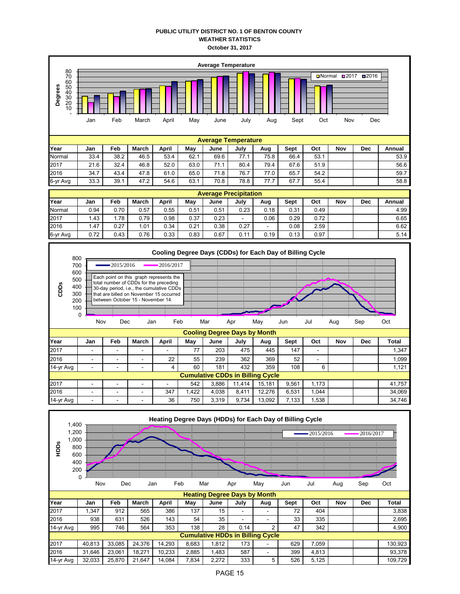## **PUBLIC UTILITY DISTRICT NO. 1 OF BENTON COUNTY WEATHER STATISTICS October 31, 2017**



| 14-yr Avg                               | 995    | 746    | 564    | 353    | 138   | 28    | 0.14 | ∼ | 47  | 342   |  | 4.900 l |
|-----------------------------------------|--------|--------|--------|--------|-------|-------|------|---|-----|-------|--|---------|
| <b>Cumulative HDDs in Billing Cycle</b> |        |        |        |        |       |       |      |   |     |       |  |         |
| 2017                                    | 40.813 | 33.085 | 24.376 | 14.293 | 8.683 | .812  | 173  |   | 629 | .059  |  | 130.923 |
| 2016                                    | 31.646 | 23.061 | 18.271 | 10.233 | 2.885 | 1.483 | 587  |   | 399 | 4.813 |  | 93.378  |
| 14-yr Avg                               | 32.033 | 25.870 | 21.647 | 14.084 | 7.834 | 2.272 | 333  |   | 526 | 5.125 |  | 109.729 |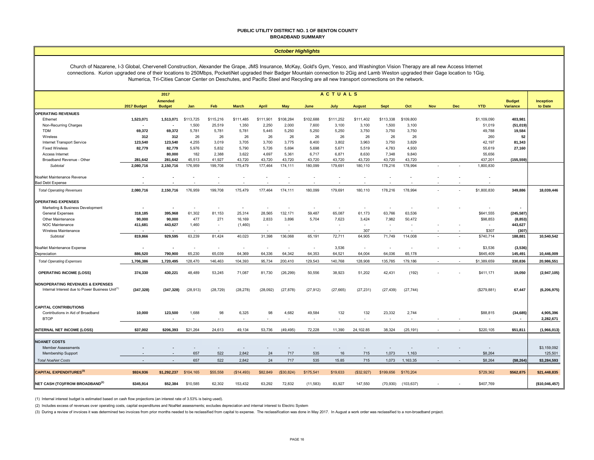#### **PUBLIC UTILITY DISTRICT NO. 1 OF BENTON COUNTY BROADBAND SUMMARY**

#### *October Highlights*

Church of Nazarene, I-3 Global, Chervenell Construction, Alexander the Grape, JMS Insurance, McKay, Gold's Gym, Yesco, and Washington Vision Therapy are all new Access Internet connections. Kurion upgraded one of their locations to 250Mbps, PocketiNet upgraded their Badger Mountain connection to 2Gig and Lamb Weston upgraded their Gage location to 1Gig. Numerica, Tri-Cities Cancer Center on Deschutes, and Pacific Steel and Recycling are all new transport connections on the network.

|                                                                                  | <b>ACTUALS</b><br>2017   |                                 |                                   |                          |              |              |            |                  |               |                          |             |            |            |            |             |                             |                        |
|----------------------------------------------------------------------------------|--------------------------|---------------------------------|-----------------------------------|--------------------------|--------------|--------------|------------|------------------|---------------|--------------------------|-------------|------------|------------|------------|-------------|-----------------------------|------------------------|
|                                                                                  | 2017 Budget              | <b>Amended</b><br><b>Budget</b> | Jan                               | Feb                      | <b>March</b> | <b>April</b> | May        | June             | July          | <b>August</b>            | <b>Sept</b> | Oct        | <b>Nov</b> | <b>Dec</b> | <b>YTD</b>  | <b>Budget</b><br>Variance   | Inception<br>to Date   |
| <b>OPERATING REVENUES</b>                                                        |                          |                                 |                                   |                          |              |              |            |                  |               |                          |             |            |            |            |             |                             |                        |
| Ethernet                                                                         | 1,523,071                | 1,513,071                       | \$113,725                         | \$115,216                | \$111,485    | \$111,901    | \$108,284  | \$102,688        | \$111,252     | \$111,402                | \$113,338   | \$109,800  |            |            | \$1,109,090 | 403,981                     |                        |
| Non-Recurring Charges                                                            |                          |                                 | 1,500                             | 25,519                   | 1,350        | 2,250        | 2,000      | 7,600            | 3,100         | 3,100                    | 1,500       | 3,100      |            |            | 51,019      | (51, 019)                   |                        |
| <b>TDM</b>                                                                       | 69,372                   | 69,372                          | 5,781                             | 5,781                    | 5,781        | 5,445        | 5,250      | 5,250            | 5,250         | 3,750                    | 3,750       | 3,750      |            |            | 49,788      | 19,584                      |                        |
| Wireless                                                                         | 312                      | 312                             | 26                                | 26                       | 26           | 26           | 26         | 26               | 26            | 26                       | 26          | 26         |            |            | 260         | 52                          |                        |
| Internet Transport Service                                                       | 123,540                  | 123,540                         | 4,255                             | 3,019                    | 3,705        | 3,700        | 3,775      | 8,400            | 3,802         | 3,963                    | 3,750       | 3,829      |            |            | 42,197      | 81,343                      |                        |
| <b>Fixed Wireless</b>                                                            | 82,779                   | 82,779                          | 5,976                             | 5,832                    | 5,790        | 5,726        | 5,694      | 5,698            | 5,671         | 5,519                    | 4,783       | 4,930      |            |            | 55,619      | 27,160                      |                        |
| Access Internet                                                                  |                          | 80,000                          | 182                               | 2,388                    | 3,622        | 4,697        | 5,361      | 6,717            | 6,871         | 8,630                    | 7,348       | 9,840      |            |            | 55,656      |                             |                        |
| Broadband Revenue - Other                                                        | 281,642                  | 281,642                         | 45,513                            | 41,927                   | 43,720       | 43.720       | 43,720     | 43,720           | 43.720        | 43,720                   | 43,720      | 43,720     |            |            | 437,201     | (155, 559)                  |                        |
| Subtotal                                                                         | 2,080,716                | 2,150,716                       | 176,959                           | 199,708                  | 175,479      | 177,464      | 174,111    | 180,099          | 179,691       | 180,110                  | 178,216     | 178,994    |            |            | 1,800,830   |                             |                        |
| NoaNet Maintenance Revenue                                                       |                          |                                 |                                   |                          |              |              |            |                  |               |                          |             |            |            |            |             |                             |                        |
| <b>Bad Debt Expense</b>                                                          |                          |                                 |                                   | $\sim$                   |              |              |            |                  |               |                          |             |            |            |            |             |                             |                        |
| <b>Total Operating Revenues</b>                                                  | 2,080,716                | 2,150,716                       | 176,959                           | 199,708                  | 175,479      | 177,464      | 174,111    | 180,099          | 179,691       | 180,110                  | 178,216     | 178,994    |            |            | \$1,800,830 | 349,886                     | 18,039,446             |
| <b>OPERATING EXPENSES</b><br>Marketing & Business Development                    | $\overline{\phantom{a}}$ |                                 |                                   | $\sim$                   |              |              |            |                  |               | $\sim$                   |             |            |            |            |             |                             |                        |
| <b>General Expenses</b>                                                          | 318,185                  | 395,968                         | 61,302                            | 81,153                   | 25,314       | 28,565       | 132,171    | 59,487           | 65,087        | 61,173                   | 63,766      | 63,536     |            |            | \$641,555   | (245, 587)                  |                        |
| Other Maintenance                                                                | 90,000                   | 90,000                          | 477                               | 271                      | 16,169       | 2,833        | 3,896      | 5,704            | 7,623         | 3,424                    | 7,982       | 50,472     |            |            | \$98,853    | (8, 853)                    |                        |
| <b>NOC Maintenance</b>                                                           | 411,681                  | 443,627                         | 1,460                             | $\sim$                   | (1,460)      |              |            |                  | ٠             | $\sim$                   |             |            |            |            |             | 443,627                     |                        |
| Wireless Maintenance                                                             | ۰.                       | $\overline{\phantom{a}}$        |                                   | $\sim$                   |              |              |            | $\sim$           | $\sim$        | 307                      |             |            |            |            | \$307       | (307)                       |                        |
| Subtotal                                                                         | 819,866                  | 929,595                         | 63,239                            | 81,424                   | 40,023       | 31,398       | 136,068    | 65,191           | 72,711        | 64,905                   | 71,749      | 114,008    |            |            | \$740,714   | 188,881                     | 10,540,542             |
| NoaNet Maintenance Expense                                                       |                          |                                 |                                   | $\sim$                   |              |              |            | $\sim$           | 3,536         | $\overline{\phantom{a}}$ |             |            |            |            | \$3,536     | (3, 536)                    |                        |
| Depreciation                                                                     | 886,520                  | 790,900                         | 65,230                            | 65,039                   | 64,369       | 64,336       | 64,342     | 64,353           | 64,521        | 64,004                   | 64,036      | 65,178     |            |            | \$645,409   | 145,491                     | 10,446,009             |
| <b>Total Operating Expenses</b>                                                  | 1,706,386                | 1,720,495                       | 128,470                           | 146,463                  | 104,393      | 95,734       | 200,410    | 129,543          | 140,768       | 128,908                  | 135,785     | 179,186    |            |            | \$1,389,659 | 330,836                     | 20,986,551             |
| <b>OPERATING INCOME (LOSS)</b>                                                   | 374,330                  | 430,221                         | 48,489                            | 53,245                   | 71,087       | 81,730       | (26, 299)  | 50,556           | 38,923        | 51,202                   | 42,431      | (192)      |            |            | \$411,171   | 19,050                      | (2,947,105)            |
| <b>NONOPERATING REVENUES &amp; EXPENSES</b>                                      |                          |                                 |                                   |                          |              |              |            |                  |               |                          |             |            |            |            |             |                             |                        |
| Internal Interest due to Power Business Unit <sup>(1)</sup>                      | (347, 328)               | (347, 328)                      | (28, 913)                         | (28, 729)                | (28, 278)    | (28,092)     | (27, 878)  | (27, 912)        | (27, 665)     | (27, 231)                | (27, 439)   | (27, 744)  |            |            | (\$279,881) | 67,447                      | (6, 206, 975)          |
| <b>CAPITAL CONTRIBUTIONS</b><br>Contributions in Aid of Broadband<br><b>BTOP</b> | 10,000                   | 123,500                         | 1,688<br>$\overline{\phantom{a}}$ | 98<br>$\sim$             | 6,325        | 98           | 4,682      | 49,584<br>$\sim$ | 132<br>$\sim$ | 132                      | 23,332      | 2,744      |            |            | \$88,815    | (34, 685)<br>$\blacksquare$ | 4,905,396<br>2,282,671 |
| <b>INTERNAL NET INCOME (LOSS)</b>                                                | \$37.002                 | \$206.393                       | \$21.264                          | 24.613                   | 49.134       | 53,736       | (49.495)   | 72.228           | 11.390        | 24,102.85                | 38,324      | (25, 191)  |            |            | \$220.105   | \$51,811                    | (1,966,013)            |
|                                                                                  |                          |                                 |                                   |                          |              |              |            |                  |               |                          |             |            |            |            |             |                             |                        |
| <b>NOANET COSTS</b><br><b>Member Assessments</b>                                 |                          |                                 |                                   | $\overline{\phantom{a}}$ |              |              |            |                  |               |                          |             |            |            |            |             |                             | \$3,159,092            |
| <b>Membership Support</b>                                                        |                          |                                 | 657                               | 522                      | 2,842        | 24           | 717        | 535              | 16            | 715                      | 1,073       | 1,163      |            |            | \$8,264     |                             | 125,501                |
| <b>Total NoaNet Costs</b>                                                        |                          |                                 | 657                               | 522                      | 2,842        | 24           | 717        | 535              | 15.85         | 715                      | 1,073       | 1,163.35   |            |            | \$8,264     | (\$8,264)                   | \$3,284,593            |
| <b>CAPITAL EXPENDITURES(3)</b>                                                   | \$924,936                | \$1,292,237                     | \$104,165                         | \$55,558                 | (\$14,493)   | \$82,849     | (\$30,824) | \$175,541        | \$19,633      | (S32, 927)               | \$199,656   | \$170,204  |            |            | \$729,362   | \$562,875                   | \$21,448,835           |
| NET CASH (TO)/FROM BROADBAND <sup>(2)</sup>                                      | \$345,914                | \$52,384                        | \$10,585                          | 62,302                   | 153,432      | 63,292       | 72,832     | (11,583)         | 83,927        | 147,550                  | (70, 930)   | (103, 637) |            |            | \$407,769   |                             | (\$10,046,457)         |

(1) Internal interest budget is estimated based on cash flow projections (an interest rate of 3.53% is being used).

(2) Includes excess of revenues over operating costs, capital expenditures and NoaNet assessments; excludes depreciation and internal interest to Electric System

(3) During a review of invoices it was determined two invoices from prior months needed to be reclassified from capital to expense. The reclassification was done in May 2017. In August a work order was reclassified to a no